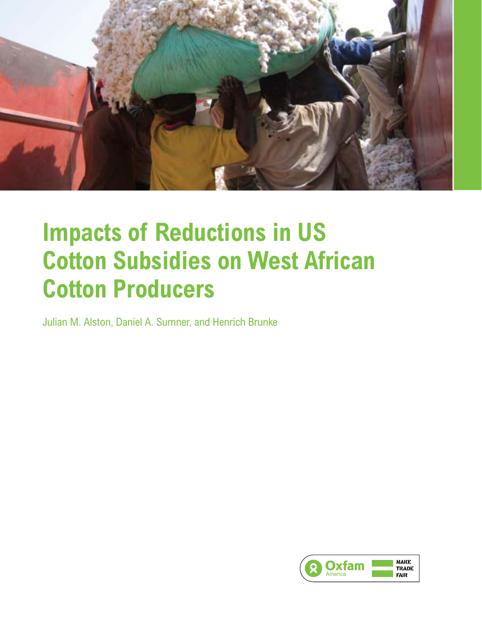

# **Impacts of Reductions in US Cotton Subsidies on West African Cotton Producers**

Julian M. Alston, Daniel A. Sumner, and Henrich Brunke

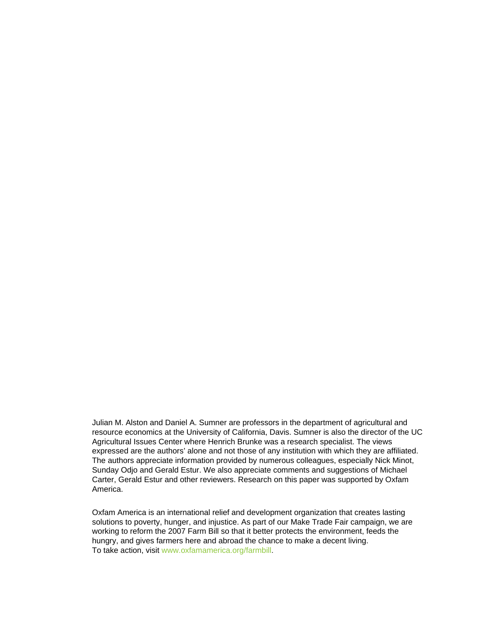Julian M. Alston and Daniel A. Sumner are professors in the department of agricultural and resource economics at the University of California, Davis. Sumner is also the director of the UC Agricultural Issues Center where Henrich Brunke was a research specialist. The views expressed are the authors' alone and not those of any institution with which they are affiliated. The authors appreciate information provided by numerous colleagues, especially Nick Minot, Sunday Odjo and Gerald Estur. We also appreciate comments and suggestions of Michael Carter, Gerald Estur and other reviewers. Research on this paper was supported by Oxfam America.

Oxfam America is an international relief and development organization that creates lasting solutions to poverty, hunger, and injustice. As part of our Make Trade Fair campaign, we are working to reform the 2007 Farm Bill so that it better protects the environment, feeds the hungry, and gives farmers here and abroad the chance to make a decent living. To take action, visit www.oxfamamerica.org/farmbill.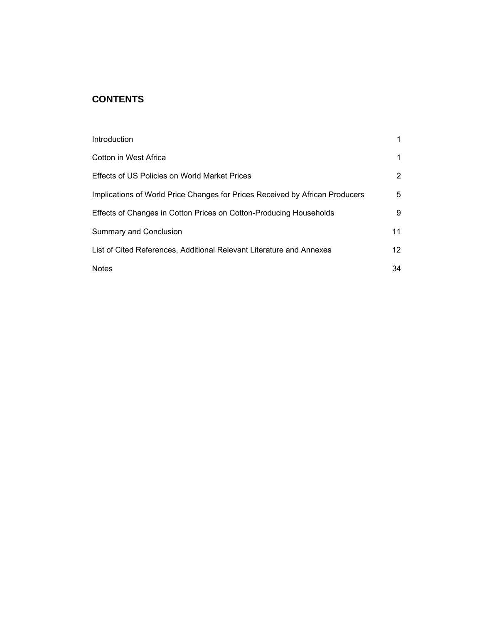### **CONTENTS**

| Introduction                                                                 |                 |
|------------------------------------------------------------------------------|-----------------|
| Cotton in West Africa                                                        | 1               |
| Effects of US Policies on World Market Prices                                | 2               |
| Implications of World Price Changes for Prices Received by African Producers | 5               |
| Effects of Changes in Cotton Prices on Cotton-Producing Households           | 9               |
| Summary and Conclusion                                                       | 11              |
| List of Cited References, Additional Relevant Literature and Annexes         | 12 <sup>°</sup> |
| <b>Notes</b>                                                                 | 34              |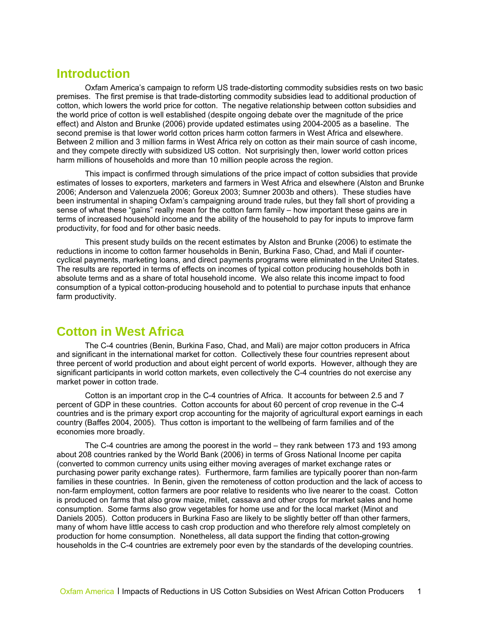## <span id="page-3-0"></span>**Introduction**

Oxfam America's campaign to reform US trade-distorting commodity subsidies rests on two basic premises. The first premise is that trade-distorting commodity subsidies lead to additional production of cotton, which lowers the world price for cotton. The negative relationship between cotton subsidies and the world price of cotton is well established (despite ongoing debate over the magnitude of the price effect) and Alston and Brunke (2006) provide updated estimates using 2004-2005 as a baseline. The second premise is that lower world cotton prices harm cotton farmers in West Africa and elsewhere. Between 2 million and 3 million farms in West Africa rely on cotton as their main source of cash income, and they compete directly with subsidized US cotton. Not surprisingly then, lower world cotton prices harm millions of households and more than 10 million people across the region.

This impact is confirmed through simulations of the price impact of cotton subsidies that provide estimates of losses to exporters, marketers and farmers in West Africa and elsewhere (Alston and Brunke 2006; Anderson and Valenzuela 2006; Goreux 2003; Sumner 2003b and others). These studies have been instrumental in shaping Oxfam's campaigning around trade rules, but they fall short of providing a sense of what these "gains" really mean for the cotton farm family – how important these gains are in terms of increased household income and the ability of the household to pay for inputs to improve farm productivity, for food and for other basic needs.

This present study builds on the recent estimates by Alston and Brunke (2006) to estimate the reductions in income to cotton farmer households in Benin, Burkina Faso, Chad, and Mali if countercyclical payments, marketing loans, and direct payments programs were eliminated in the United States. The results are reported in terms of effects on incomes of typical cotton producing households both in absolute terms and as a share of total household income. We also relate this income impact to food consumption of a typical cotton-producing household and to potential to purchase inputs that enhance farm productivity.

## **Cotton in West Africa**

The C-4 countries (Benin, Burkina Faso, Chad, and Mali) are major cotton producers in Africa and significant in the international market for cotton. Collectively these four countries represent about three percent of world production and about eight percent of world exports. However, although they are significant participants in world cotton markets, even collectively the C-4 countries do not exercise any market power in cotton trade.

Cotton is an important crop in the C-4 countries of Africa. It accounts for between 2.5 and 7 percent of GDP in these countries. Cotton accounts for about 60 percent of crop revenue in the C-4 countries and is the primary export crop accounting for the majority of agricultural export earnings in each country (Baffes 2004, 2005). Thus cotton is important to the wellbeing of farm families and of the economies more broadly.

The C-4 countries are among the poorest in the world – they rank between 173 and 193 among about 208 countries ranked by the World Bank (2006) in terms of Gross National Income per capita (converted to common currency units using either moving averages of market exchange rates or purchasing power parity exchange rates). Furthermore, farm families are typically poorer than non-farm families in these countries. In Benin, given the remoteness of cotton production and the lack of access to non-farm employment, cotton farmers are poor relative to residents who live nearer to the coast. Cotton is produced on farms that also grow maize, millet, cassava and other crops for market sales and home consumption. Some farms also grow vegetables for home use and for the local market (Minot and Daniels 2005). Cotton producers in Burkina Faso are likely to be slightly better off than other farmers, many of whom have little access to cash crop production and who therefore rely almost completely on production for home consumption. Nonetheless, all data support the finding that cotton-growing households in the C-4 countries are extremely poor even by the standards of the developing countries.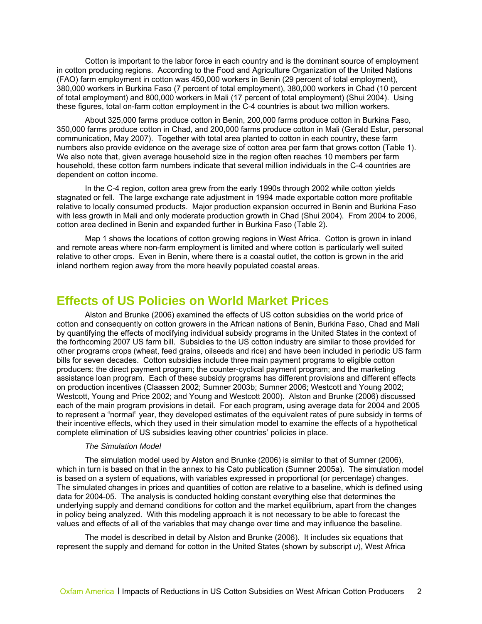<span id="page-4-0"></span>Cotton is important to the labor force in each country and is the dominant source of employment in cotton producing regions. According to the Food and Agriculture Organization of the United Nations (FAO) farm employment in cotton was 450,000 workers in Benin (29 percent of total employment), 380,000 workers in Burkina Faso (7 percent of total employment), 380,000 workers in Chad (10 percent of total employment) and 800,000 workers in Mali (17 percent of total employment) (Shui 2004). Using these figures, total on-farm cotton employment in the C-4 countries is about two million workers.

About 325,000 farms produce cotton in Benin, 200,000 farms produce cotton in Burkina Faso, 350,000 farms produce cotton in Chad, and 200,000 farms produce cotton in Mali (Gerald Estur, personal communication, May 2007). Together with total area planted to cotton in each country, these farm numbers also provide evidence on the average size of cotton area per farm that grows cotton (Table 1). We also note that, given average household size in the region often reaches 10 members per farm household, these cotton farm numbers indicate that several million individuals in the C-4 countries are dependent on cotton income.

In the C-4 region, cotton area grew from the early 1990s through 2002 while cotton yields stagnated or fell. The large exchange rate adjustment in 1994 made exportable cotton more profitable relative to locally consumed products. Major production expansion occurred in Benin and Burkina Faso with less growth in Mali and only moderate production growth in Chad (Shui 2004). From 2004 to 2006, cotton area declined in Benin and expanded further in Burkina Faso (Table 2).

Map 1 shows the locations of cotton growing regions in West Africa. Cotton is grown in inland and remote areas where non-farm employment is limited and where cotton is particularly well suited relative to other crops. Even in Benin, where there is a coastal outlet, the cotton is grown in the arid inland northern region away from the more heavily populated coastal areas.

## **Effects of US Policies on World Market Prices**

Alston and Brunke (2006) examined the effects of US cotton subsidies on the world price of cotton and consequently on cotton growers in the African nations of Benin, Burkina Faso, Chad and Mali by quantifying the effects of modifying individual subsidy programs in the United States in the context of the forthcoming 2007 US farm bill. Subsidies to the US cotton industry are similar to those provided for other programs crops (wheat, feed grains, oilseeds and rice) and have been included in periodic US farm bills for seven decades. Cotton subsidies include three main payment programs to eligible cotton producers: the direct payment program; the counter-cyclical payment program; and the marketing assistance loan program. Each of these subsidy programs has different provisions and different effects on production incentives (Claassen 2002; Sumner 2003b; Sumner 2006; Westcott and Young 2002; Westcott, Young and Price 2002; and Young and Westcott 2000). Alston and Brunke (2006) discussed each of the main program provisions in detail. For each program, using average data for 2004 and 2005 to represent a "normal" year, they developed estimates of the equivalent rates of pure subsidy in terms of their incentive effects, which they used in their simulation model to examine the effects of a hypothetical complete elimination of US subsidies leaving other countries' policies in place.

#### *The Simulation Model*

The simulation model used by Alston and Brunke (2006) is similar to that of Sumner (2006), which in turn is based on that in the annex to his Cato publication (Sumner 2005a). The simulation model is based on a system of equations, with variables expressed in proportional (or percentage) changes. The simulated changes in prices and quantities of cotton are relative to a baseline, which is defined using data for 2004-05. The analysis is conducted holding constant everything else that determines the underlying supply and demand conditions for cotton and the market equilibrium, apart from the changes in policy being analyzed. With this modeling approach it is not necessary to be able to forecast the values and effects of all of the variables that may change over time and may influence the baseline.

The model is described in detail by Alston and Brunke (2006). It includes six equations that represent the supply and demand for cotton in the United States (shown by subscript *u*), West Africa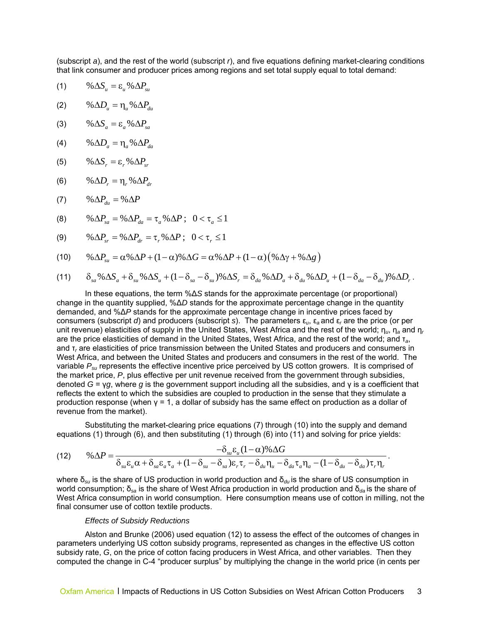(subscript *a*), and the rest of the world (subscript *r*), and five equations defining market-clearing conditions that link consumer and producer prices among regions and set total supply equal to total demand:

(1)  $\% \Delta S_u = \varepsilon_u \% \Delta P_u$ 

$$
(2) \qquad \% \Delta D_u = \eta_u \% \Delta P_{du}
$$

$$
(3) \qquad \% \Delta S_a = \varepsilon_a \% \Delta P_{sa}
$$

$$
(4) \qquad \% \Delta D_a = \eta_a \% \Delta P_{da}
$$

$$
(5) \qquad \% \Delta S_r = \varepsilon_r \% \Delta P_{sr}
$$

$$
(6) \qquad \% \Delta D_r = \eta_r \% \Delta P_{dr}
$$

$$
(7) \qquad \% \Delta P_{du} = \% \Delta P
$$

$$
(8) \qquad \% \Delta P_{sa} = \% \Delta P_{da} = \tau_a \% \Delta P \; ; \; 0 < \tau_a \le 1
$$

(9) 
$$
\% \Delta P_{sr} = \% \Delta P_{dr} = \tau_r \% \Delta P; \quad 0 < \tau_r \le 1
$$

$$
(10) \qquad \% \Delta P_{\rm su} = \alpha \% \Delta P + (1 - \alpha) \% \Delta G = \alpha \% \Delta P + (1 - \alpha) (\% \Delta \gamma + \% \Delta g)
$$

$$
(11) \qquad \delta_{sa} \% \Delta S_a + \delta_{su} \% \Delta S_u + (1 - \delta_{sa} - \delta_{su}) \% \Delta S_r = \delta_{da} \% \Delta D_a + \delta_{du} \% \Delta D_u + (1 - \delta_{da} - \delta_{du}) \% \Delta D_r.
$$

In these equations, the term %Δ*S* stands for the approximate percentage (or proportional) change in the quantity supplied, %Δ*D* stands for the approximate percentage change in the quantity demanded, and %Δ*P* stands for the approximate percentage change in incentive prices faced by consumers (subscript *d*) and producers (subscript *s*). The parameters ε*u*, ε*<sup>a</sup>* and ε*r* are the price (or per unit revenue) elasticities of supply in the United States, West Africa and the rest of the world; η*u*, η*a* and η*<sup>r</sup>* are the price elasticities of demand in the United States, West Africa, and the rest of the world; and τ*a*, and τ*r* are elasticities of price transmission between the United States and producers and consumers in West Africa, and between the United States and producers and consumers in the rest of the world. The variable *Psu* represents the effective incentive price perceived by US cotton growers. It is comprised of the market price, *P*, plus effective per unit revenue received from the government through subsidies, denoted *G* = γ*g*, where *g* is the government support including all the subsidies, and γ is a coefficient that reflects the extent to which the subsidies are coupled to production in the sense that they stimulate a production response (when  $y = 1$ , a dollar of subsidy has the same effect on production as a dollar of revenue from the market).

Substituting the market-clearing price equations (7) through (10) into the supply and demand equations (1) through (6), and then substituting (1) through (6) into (11) and solving for price yields:

(12) 
$$
\% \Delta P = \frac{-\delta_{s\mu} \varepsilon_{\mu} (1-\alpha) \% \Delta G}{\delta_{s\mu} \varepsilon_{\mu} \alpha + \delta_{s\alpha} \varepsilon_{a} \tau_{a} + (1-\delta_{s\mu} - \delta_{s\alpha}) \varepsilon_{r} \tau_{r} - \delta_{d\mu} \eta_{\mu} - \delta_{d\alpha} \tau_{a} \eta_{a} - (1-\delta_{d\mu} - \delta_{d\alpha}) \tau_{r} \eta_{r}}.
$$

where  $\delta_{su}$  is the share of US production in world production and  $\delta_{du}$  is the share of US consumption in world consumption; δ*sa* is the share of West Africa production in world production and δ*da* is the share of West Africa consumption in world consumption. Here consumption means use of cotton in milling, not the final consumer use of cotton textile products.

#### *Effects of Subsidy Reductions*

Alston and Brunke (2006) used equation (12) to assess the effect of the outcomes of changes in parameters underlying US cotton subsidy programs, represented as changes in the effective US cotton subsidy rate, *G*, on the price of cotton facing producers in West Africa, and other variables. Then they computed the change in C-4 "producer surplus" by multiplying the change in the world price (in cents per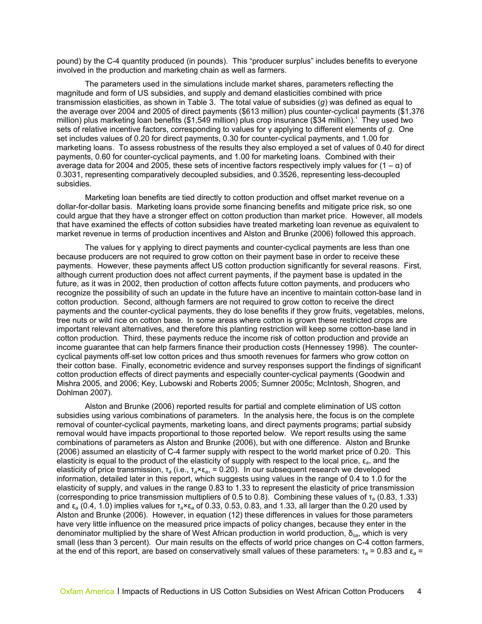pound) by the C-4 quantity produced (in pounds). This "producer surplus" includes benefits to everyone involved in the production and marketing chain as well as farmers.

The parameters used in the simulations include market shares, parameters reflecting the magnitu de and form of US subsidies, and supply and demand elasticities combined with price transmission elasticities, as shown in Table 3. The total value of subsidies (g) was defined as equal to the average over 2004 and 2005 of direct payments (\$613 million) plus counter-cyclical payments (\$1,376 marketing loans. To assess robustness of the results they also employed a set of values of 0.40 for direct average data for 2004 and 2005, these sets of incentive factors respectively imply values for  $(1 - α)$  of m[i](#page-36-1)llion) plus marketing loan benefits (\$1,549 million) plus crop insurance (\$34 million). They used two sets of relative incentive factors, corresponding to values for γ applying to different elements of *g*. One set includes values of 0.20 for direct payments, 0.30 for counter-cyclical payments, and 1.00 for payments, 0.60 for counter-cyclical payments, and 1.00 for marketing loans. Combined with their 0.3031, representing comparatively decoupled subsidies, and 0.3526, representing less-decoupled subsidies.

Marketing loan benefits are tied directly to cotton production and offset market revenue on a dollar-fo r-dollar basis. Marketing loans provide some financing benefits and mitigate price risk, so one could argue that they have a stronger effect on cotton production than market price. However, all models that have examined the effects of cotton subsidies have treated marketing loan revenue as equivalent to market revenue in terms of production incentives and Alston and Brunke (2006) followed this approach.

becaus e producers are not required to grow cotton on their payment base in order to receive these payments. However, these payments affect US cotton production significantly for several reasons. First, future, as it was in 2002, then production of cotton affects future cotton payments, and producers who recognize the possibility of such an update in the future have an incentive to maintain cotton-base land in payments and the counter-cyclical payments, they do lose benefits if they grow fruits, vegetables, melons, important relevant alternatives, and therefore this planting restriction will keep some cotton-base land in income guarantee that can help farmers finance their production costs (Hennessey 1998). The countertheir cotton base. Finally, econometric evidence and survey responses support the findings of significant The values for γ applying to direct payments and counter-cyclical payments are less than one although current production does not affect current payments, if the payment base is updated in the cotton production. Second, although farmers are not required to grow cotton to receive the direct tree nuts or wild rice on cotton base. In some areas where cotton is grown these restricted crops are cotton production. Third, these payments reduce the income risk of cotton production and provide an cyclical payments off-set low cotton prices and thus smooth revenues for farmers who grow cotton on cotton production effects of direct payments and especially counter-cyclical payments (Goodwin and Mishra 2005, and 2006; Key, Lubowski and Roberts 2005; Sumner 2005c; McIntosh, Shogren, and Dohlman 2007).

Alston and Brunke (2006) reported results for partial and complete elimination of US cotton subsidies using various combinations of parameters. In the analysis here, the focus is on the complete information, detailed later in this report, which suggests using values in the range of 0.4 to 1.0 for the small (less than 3 percent). Our main results on the effects of world price changes on C-4 cotton farmers, removal of counter-cyclical payments, marketing loans, and direct payments programs; partial subsidy removal would have impacts proportional to those reported below. We report results using the same combinations of parameters as Alston and Brunke (2006), but with one difference. Alston and Brunke (2006) assumed an elasticity of C-4 farmer supply with respect to the world market price of 0.20. This elasticity is equal to the product of the elasticity of supply with respect to the local price, ε*a*, and the elasticity of price transmission, τ*a* (i.e., τ*a*×ε*a*, = 0.20). In our subsequent research we developed elasticity of supply, and values in the range 0.83 to 1.33 to represent the elasticity of price transmission (corresponding to price transmission multipliers of 0.5 to 0.8). Combining these values of τ*a* (0.83, 1.33) and ε*a* (0.4, 1.0) implies values for τ*a*×ε*a* of 0.33, 0.53, 0.83, and 1.33, all larger than the 0.20 used by Alston and Brunke (2006). However, in equation (12) these differences in values for those parameters have very little influence on the measured price impacts of policy changes, because they enter in the denominator multiplied by the share of West African production in world production, δ*sa*, which is very at the end of this report, are based on conservatively small values of these parameters: τ*a* = 0.83 and ε*a* =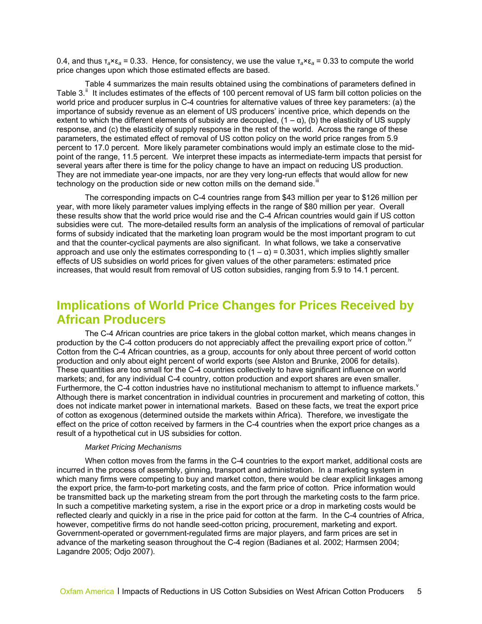<span id="page-7-0"></span>0.4, and thus  $\tau_a \times \epsilon_a = 0.33$ . Hence, for consistency, we use the value  $\tau_a \times \epsilon_a = 0.33$  to compute the world price changes upon which those estimated effects are based.

Table 4 summarizes the main results obtained using the combinations of parameters defined in Table 3.<sup>[ii](#page-36-2)</sup> It includes estimates of the effects of 100 percent removal of US farm bill cotton policies on the world price and producer surplus in C-4 countries for alternative values of three key parameters: (a) the importance of subsidy revenue as an element of US producers' incentive price, which depends on the extent to which the different elements of subsidy are decoupled,  $(1 - \alpha)$ , (b) the elasticity of US supply response, and (c) the elasticity of supply response in the rest of the world. Across the range of these parameters, the estimated effect of removal of US cotton policy on the world price ranges from 5.9 percent to 17.0 percent. More likely parameter combinations would imply an estimate close to the midpoint of the range, 11.5 percent. We interpret these impacts as intermediate-term impacts that persist for several years after there is time for the policy change to have an impact on reducing US production. They are not immediate year-one impacts, nor are they very long-run effects that would allow for new technology on the production side or new cotton mills on the demand side.<sup>[iii](#page-36-2)</sup>

The corresponding impacts on C-4 countries range from \$43 million per year to \$126 million per year, with more likely parameter values implying effects in the range of \$80 million per year. Overall these results show that the world price would rise and the C-4 African countries would gain if US cotton subsidies were cut. The more-detailed results form an analysis of the implications of removal of particular forms of subsidy indicated that the marketing loan program would be the most important program to cut and that the counter-cyclical payments are also significant. In what follows, we take a conservative approach and use only the estimates corresponding to  $(1 - \alpha) = 0.3031$ , which implies slightly smaller effects of US subsidies on world prices for given values of the other parameters: estimated price increases, that would result from removal of US cotton subsidies, ranging from 5.9 to 14.1 percent.

## **Implications of World Price Changes for Prices Received by African Producers**

The C-4 African countries are price takers in the global cotton market, which means changes in production by the C-4 cotton producers do not appreciably affect the prevailing export price of cotton.<sup>[iv](#page-36-2)</sup> Cotton from the C-4 African countries, as a group, accounts for only about three percent of world cotton production and only about eight percent of world exports (see Alston and Brunke, 2006 for details). These quantities are too small for the C-4 countries collectively to have significant influence on world markets; and, for any individual C-4 country, cotton production and export shares are even smaller. Furthermore, the C-4 cotton industries ha[v](#page-36-2)e no institutional mechanism to attempt to influence markets.  $v$ Although there is market concentration in individual countries in procurement and marketing of cotton, this does not indicate market power in international markets. Based on these facts, we treat the export price of cotton as exogenous (determined outside the markets within Africa). Therefore, we investigate the effect on the price of cotton received by farmers in the C-4 countries when the export price changes as a result of a hypothetical cut in US subsidies for cotton.

#### *Market Pricing Mechanisms*

When cotton moves from the farms in the C-4 countries to the export market, additional costs are incurred in the process of assembly, ginning, transport and administration. In a marketing system in which many firms were competing to buy and market cotton, there would be clear explicit linkages among the export price, the farm-to-port marketing costs, and the farm price of cotton. Price information would be transmitted back up the marketing stream from the port through the marketing costs to the farm price. In such a competitive marketing system, a rise in the export price or a drop in marketing costs would be reflected clearly and quickly in a rise in the price paid for cotton at the farm. In the C-4 countries of Africa, however, competitive firms do not handle seed-cotton pricing, procurement, marketing and export. Government-operated or government-regulated firms are major players, and farm prices are set in advance of the marketing season throughout the C-4 region (Badianes et al. 2002; Harmsen 2004; Lagandre 2005; Odjo 2007).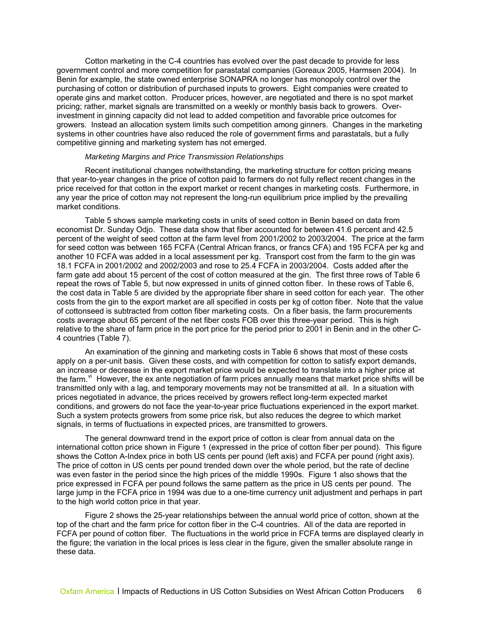Cotton marketing in the C-4 countries has evolved over the past decade to provide for less government control and more competition for parastatal companies (Goreaux 2005, Harmsen 2004). In Benin for example, the state owned enterprise SONAPRA no longer has monopoly control over the purchasing of cotton or distribution of purchased inputs to growers. Eight companies were created to operate gins and market cotton. Producer prices, however, are negotiated and there is no spot market pricing; rather, market signals are transmitted on a weekly or monthly basis back to growers. Overinvestment in ginning capacity did not lead to added competition and favorable price outcomes for growers. Instead an allocation system limits such competition among ginners. Changes in the marketing systems in other countries have also reduced the role of government firms and parastatals, but a fully competitive ginning and marketing system has not emerged.

#### *Marketing Margins and Price Transmission Relationships*

Recent institutional changes notwithstanding, the marketing structure for cotton pricing means that year-to-year changes in the price of cotton paid to farmers do not fully reflect recent changes in the price received for that cotton in the export market or recent changes in marketing costs. Furthermore, in any year the price of cotton may not represent the long-run equilibrium price implied by the prevailing market conditions.

Table 5 shows sample marketing costs in units of seed cotton in Benin based on data from economist Dr. Sunday Odjo. These data show that fiber accounted for between 41.6 percent and 42.5 percent of the weight of seed cotton at the farm level from 2001/2002 to 2003/2004. The price at the farm for seed cotton was between 165 FCFA (Central African francs, or francs CFA) and 195 FCFA per kg and another 10 FCFA was added in a local assessment per kg. Transport cost from the farm to the gin was 18.1 FCFA in 2001/2002 and 2002/2003 and rose to 25.4 FCFA in 2003/2004. Costs added after the farm gate add about 15 percent of the cost of cotton measured at the gin. The first three rows of Table 6 repeat the rows of Table 5, but now expressed in units of ginned cotton fiber. In these rows of Table 6, the cost data in Table 5 are divided by the appropriate fiber share in seed cotton for each year. The other costs from the gin to the export market are all specified in costs per kg of cotton fiber. Note that the value of cottonseed is subtracted from cotton fiber marketing costs. On a fiber basis, the farm procurements costs average about 65 percent of the net fiber costs FOB over this three-year period. This is high relative to the share of farm price in the port price for the period prior to 2001 in Benin and in the other C-4 countries (Table 7).

An examination of the ginning and marketing costs in Table 6 shows that most of these costs apply on a per-unit basis. Given these costs, and with competition for cotton to satisfy export demands, an increase or decrease in the export market price would be expected to translate into a higher price at the farm.  $\dot{y}$  However, the ex ante negotiation of farm prices annually means that market price shifts will be transmitted only with a lag, and temporary movements may not be transmitted at all. In a situation with prices negotiated in advance, the prices received by growers reflect long-term expected market conditions, and growers do not face the year-to-year price fluctuations experienced in the export market. Such a system protects growers from some price risk, but also reduces the degree to which market signals, in terms of fluctuations in expected prices, are transmitted to growers.

The general downward trend in the export price of cotton is clear from annual data on the international cotton price shown in Figure 1 (expressed in the price of cotton fiber per pound). This figure shows the Cotton A-Index price in both US cents per pound (left axis) and FCFA per pound (right axis). The price of cotton in US cents per pound trended down over the whole period, but the rate of decline was even faster in the period since the high prices of the middle 1990s. Figure 1 also shows that the price expressed in FCFA per pound follows the same pattern as the price in US cents per pound. The large jump in the FCFA price in 1994 was due to a one-time currency unit adjustment and perhaps in part to the high world cotton price in that year.

Figure 2 shows the 25-year relationships between the annual world price of cotton, shown at the top of the chart and the farm price for cotton fiber in the C-4 countries. All of the data are reported in FCFA per pound of cotton fiber. The fluctuations in the world price in FCFA terms are displayed clearly in the figure; the variation in the local prices is less clear in the figure, given the smaller absolute range in these data.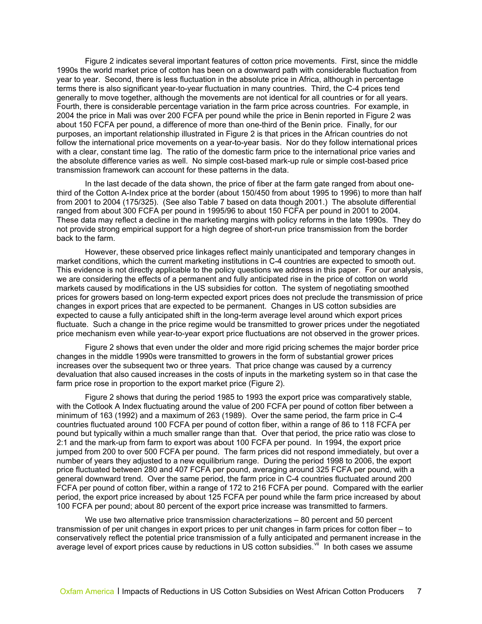Figure 2 indicates several important features of cotton price movements. First, since the middle 1990s the world market price of cotton has been on a downward path with considerable fluctuation from year to year. Second, there is less fluctuation in the absolute price in Africa, although in percentage terms there is also significant year-to-year fluctuation in many countries. Third, the C-4 prices tend generally to move together, although the movements are not identical for all countries or for all years. Fourth, there is considerable percentage variation in the farm price across countries. For example, in 2004 the price in Mali was over 200 FCFA per pound while the price in Benin reported in Figure 2 was about 150 FCFA per pound, a difference of more than one-third of the Benin price. Finally, for our purposes, an important relationship illustrated in Figure 2 is that prices in the African countries do not follow the international price movements on a year-to-year basis. Nor do they follow international prices with a clear, constant time lag. The ratio of the domestic farm price to the international price varies and the absolute difference varies as well. No simple cost-based mark-up rule or simple cost-based price transmission framework can account for these patterns in the data.

In the last decade of the data shown, the price of fiber at the farm gate ranged from about onethird of the Cotton A-Index price at the border (about 150/450 from about 1995 to 1996) to more than half from 2001 to 2004 (175/325). (See also Table 7 based on data though 2001.) The absolute differential ranged from about 300 FCFA per pound in 1995/96 to about 150 FCFA per pound in 2001 to 2004. These data may reflect a decline in the marketing margins with policy reforms in the late 1990s. They do not provide strong empirical support for a high degree of short-run price transmission from the border back to the farm.

However, these observed price linkages reflect mainly unanticipated and temporary changes in market conditions, which the current marketing institutions in C-4 countries are expected to smooth out. This evidence is not directly applicable to the policy questions we address in this paper. For our analysis, we are considering the effects of a permanent and fully anticipated rise in the price of cotton on world markets caused by modifications in the US subsidies for cotton. The system of negotiating smoothed prices for growers based on long-term expected export prices does not preclude the transmission of price changes in export prices that are expected to be permanent. Changes in US cotton subsidies are expected to cause a fully anticipated shift in the long-term average level around which export prices fluctuate. Such a change in the price regime would be transmitted to grower prices under the negotiated price mechanism even while year-to-year export price fluctuations are not observed in the grower prices.

Figure 2 shows that even under the older and more rigid pricing schemes the major border price changes in the middle 1990s were transmitted to growers in the form of substantial grower prices increases over the subsequent two or three years. That price change was caused by a currency devaluation that also caused increases in the costs of inputs in the marketing system so in that case the farm price rose in proportion to the export market price (Figure 2).

Figure 2 shows that during the period 1985 to 1993 the export price was comparatively stable, with the Cotlook A Index fluctuating around the value of 200 FCFA per pound of cotton fiber between a minimum of 163 (1992) and a maximum of 263 (1989). Over the same period, the farm price in C-4 countries fluctuated around 100 FCFA per pound of cotton fiber, within a range of 86 to 118 FCFA per pound but typically within a much smaller range than that. Over that period, the price ratio was close to 2:1 and the mark-up from farm to export was about 100 FCFA per pound. In 1994, the export price jumped from 200 to over 500 FCFA per pound. The farm prices did not respond immediately, but over a number of years they adjusted to a new equilibrium range. During the period 1998 to 2006, the export price fluctuated between 280 and 407 FCFA per pound, averaging around 325 FCFA per pound, with a general downward trend. Over the same period, the farm price in C-4 countries fluctuated around 200 FCFA per pound of cotton fiber, within a range of 172 to 216 FCFA per pound. Compared with the earlier period, the export price increased by about 125 FCFA per pound while the farm price increased by about 100 FCFA per pound; about 80 percent of the export price increase was transmitted to farmers.

We use two alternative price transmission characterizations – 80 percent and 50 percent transmission of per unit changes in export prices to per unit changes in farm prices for cotton fiber – to conservatively reflect the potential price transmission of a fully anticipated and permanent increase in the average level of export prices cause by reductions in US cotton subsidies.<sup>[vii](#page-36-2)</sup> In both cases we assume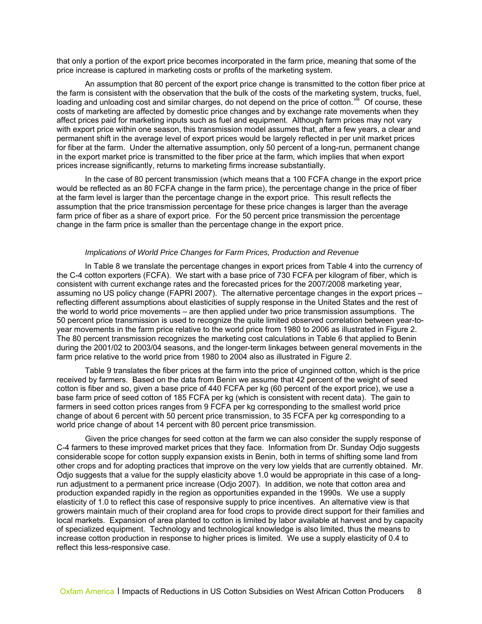that only a portion of the export price becomes incorporated in the farm price, meaning that some of the price increase is captured in marketing costs or profits of the marketing system.

An assumption that 80 percent of the export price change is transmitted to the cotton fiber price at the farm is consistent with the observation that the bulk of the costs of the marketing system, trucks, fuel, loading and unloading cost and similar charges, do not depend on the price of cotton. <sup>Viii</sup> Of course, these costs of marketing are affected by domestic price changes and by exchange rate movements when they affect prices paid for marketing inputs such as fuel and equipment. Although farm prices may not vary with export price within one season, this transmission model assumes that, after a few years, a clear and permanent shift in the average level of export prices would be largely reflected in per unit market prices for fiber at the farm. Under the alternative assumption, only 50 percent of a long-run, permanent change in the export market price is transmitted to the fiber price at the farm, which implies that when export prices increase significantly, returns to marketing firms increase substantially.

In the case of 80 percent transmission (which means that a 100 FCFA change in the export price would be reflected as an 80 FCFA change in the farm price), the percentage change in the price of fiber at the farm level is larger than the percentage change in the export price. This result reflects the assumption that the price transmission percentage for these price changes is larger than the average farm price of fiber as a share of export price. For the 50 percent price transmission the percentage change in the farm price is smaller than the percentage change in the export price.

#### *Implications of World Price Changes for Farm Prices, Production and Revenue*

In Table 8 we translate the percentage changes in export prices from Table 4 into the currency of the C-4 cotton exporters (FCFA). We start with a base price of 730 FCFA per kilogram of fiber, which is consistent with current exchange rates and the forecasted prices for the 2007/2008 marketing year, assuming no US policy change (FAPRI 2007). The alternative percentage changes in the export prices – reflecting different assumptions about elasticities of supply response in the United States and the rest of the world to world price movements – are then applied under two price transmission assumptions. The 50 percent price transmission is used to recognize the quite limited observed correlation between year-toyear movements in the farm price relative to the world price from 1980 to 2006 as illustrated in Figure 2. The 80 percent transmission recognizes the marketing cost calculations in Table 6 that applied to Benin during the 2001/02 to 2003/04 seasons, and the longer-term linkages between general movements in the farm price relative to the world price from 1980 to 2004 also as illustrated in Figure 2.

Table 9 translates the fiber prices at the farm into the price of unginned cotton, which is the price received by farmers. Based on the data from Benin we assume that 42 percent of the weight of seed cotton is fiber and so, given a base price of 440 FCFA per kg (60 percent of the export price), we use a base farm price of seed cotton of 185 FCFA per kg (which is consistent with recent data). The gain to farmers in seed cotton prices ranges from 9 FCFA per kg corresponding to the smallest world price change of about 6 percent with 50 percent price transmission, to 35 FCFA per kg corresponding to a world price change of about 14 percent with 80 percent price transmission.

Given the price changes for seed cotton at the farm we can also consider the supply response of C-4 farmers to these improved market prices that they face. Information from Dr. Sunday Odjo suggests considerable scope for cotton supply expansion exists in Benin, both in terms of shifting some land from other crops and for adopting practices that improve on the very low yields that are currently obtained. Mr. Odjo suggests that a value for the supply elasticity above 1.0 would be appropriate in this case of a longrun adjustment to a permanent price increase (Odjo 2007). In addition, we note that cotton area and production expanded rapidly in the region as opportunities expanded in the 1990s. We use a supply elasticity of 1.0 to reflect this case of responsive supply to price incentives. An alternative view is that growers maintain much of their cropland area for food crops to provide direct support for their families and local markets. Expansion of area planted to cotton is limited by labor available at harvest and by capacity of specialized equipment. Technology and technological knowledge is also limited, thus the means to increase cotton production in response to higher prices is limited. We use a supply elasticity of 0.4 to reflect this less-responsive case.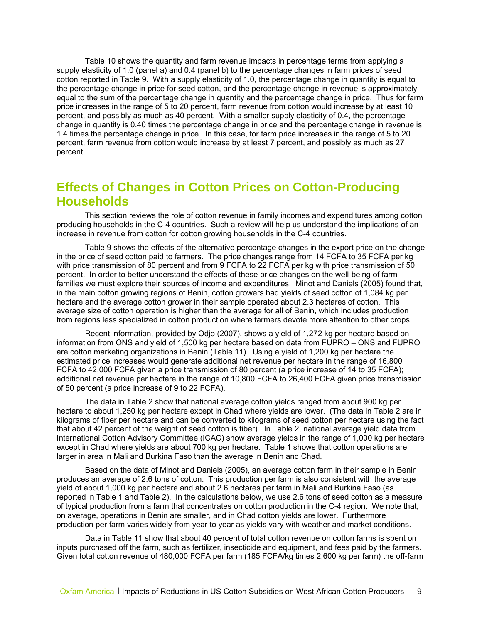<span id="page-11-0"></span>Table 10 shows the quantity and farm revenue impacts in percentage terms from applying a supply elasticity of 1.0 (panel a) and 0.4 (panel b) to the percentage changes in farm prices of seed cotton reported in Table 9. With a supply elasticity of 1.0, the percentage change in quantity is equal to the percentage change in price for seed cotton, and the percentage change in revenue is approximately equal to the sum of the percentage change in quantity and the percentage change in price. Thus for farm price increases in the range of 5 to 20 percent, farm revenue from cotton would increase by at least 10 percent, and possibly as much as 40 percent. With a smaller supply elasticity of 0.4, the percentage change in quantity is 0.40 times the percentage change in price and the percentage change in revenue is 1.4 times the percentage change in price. In this case, for farm price increases in the range of 5 to 20 percent, farm revenue from cotton would increase by at least 7 percent, and possibly as much as 27 percent.

# **Effects of Changes in Cotton Prices on Cotton-Producing Households**

This section reviews the role of cotton revenue in family incomes and expenditures among cotton producing households in the C-4 countries. Such a review will help us understand the implications of an increase in revenue from cotton for cotton growing households in the C-4 countries.

Table 9 shows the effects of the alternative percentage changes in the export price on the change in the price of seed cotton paid to farmers. The price changes range from 14 FCFA to 35 FCFA per kg with price transmission of 80 percent and from 9 FCFA to 22 FCFA per kg with price transmission of 50 percent. In order to better understand the effects of these price changes on the well-being of farm families we must explore their sources of income and expenditures. Minot and Daniels (2005) found that, in the main cotton growing regions of Benin, cotton growers had yields of seed cotton of 1,084 kg per hectare and the average cotton grower in their sample operated about 2.3 hectares of cotton. This average size of cotton operation is higher than the average for all of Benin, which includes production from regions less specialized in cotton production where farmers devote more attention to other crops.

Recent information, provided by Odjo (2007), shows a yield of 1,272 kg per hectare based on information from ONS and yield of 1,500 kg per hectare based on data from FUPRO – ONS and FUPRO are cotton marketing organizations in Benin (Table 11). Using a yield of 1,200 kg per hectare the estimated price increases would generate additional net revenue per hectare in the range of 16,800 FCFA to 42,000 FCFA given a price transmission of 80 percent (a price increase of 14 to 35 FCFA); additional net revenue per hectare in the range of 10,800 FCFA to 26,400 FCFA given price transmission of 50 percent (a price increase of 9 to 22 FCFA).

The data in Table 2 show that national average cotton yields ranged from about 900 kg per hectare to about 1,250 kg per hectare except in Chad where yields are lower. (The data in Table 2 are in kilograms of fiber per hectare and can be converted to kilograms of seed cotton per hectare using the fact that about 42 percent of the weight of seed cotton is fiber). In Table 2, national average yield data from International Cotton Advisory Committee (ICAC) show average yields in the range of 1,000 kg per hectare except in Chad where yields are about 700 kg per hectare. Table 1 shows that cotton operations are larger in area in Mali and Burkina Faso than the average in Benin and Chad.

Based on the data of Minot and Daniels (2005), an average cotton farm in their sample in Benin produces an average of 2.6 tons of cotton. This production per farm is also consistent with the average yield of about 1,000 kg per hectare and about 2.6 hectares per farm in Mali and Burkina Faso (as reported in Table 1 and Table 2). In the calculations below, we use 2.6 tons of seed cotton as a measure of typical production from a farm that concentrates on cotton production in the C-4 region. We note that, on average, operations in Benin are smaller, and in Chad cotton yields are lower. Furthermore production per farm varies widely from year to year as yields vary with weather and market conditions.

Data in Table 11 show that about 40 percent of total cotton revenue on cotton farms is spent on inputs purchased off the farm, such as fertilizer, insecticide and equipment, and fees paid by the farmers. Given total cotton revenue of 480,000 FCFA per farm (185 FCFA/kg times 2,600 kg per farm) the off-farm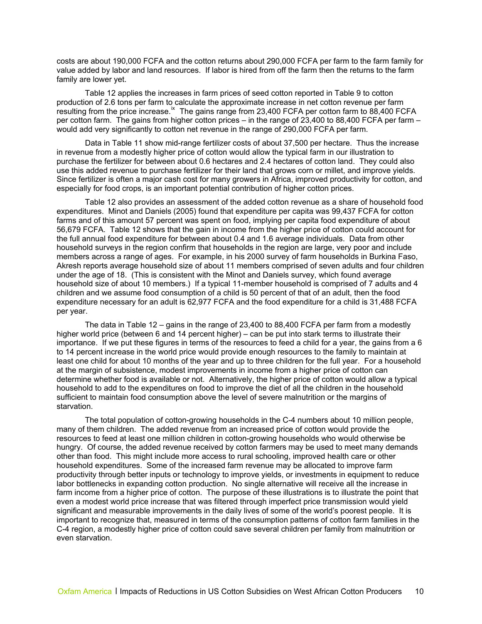costs are about 190,000 FCFA and the cotton returns about 290,000 FCFA per farm to the farm family for value added by labor and land resources. If labor is hired from off the farm then the returns to the farm family are lower yet.

Table 12 applies the increases in farm prices of seed cotton reported in Table 9 to cotton production of 2.6 tons per farm to calculate the approximate increase in net cotton revenue per farm resulting from the price increase.<sup>[ix](#page-36-2)</sup> The gains range from 23,400 FCFA per cotton farm to 88,400 FCFA per cotton farm. The gains from higher cotton prices – in the range of 23,400 to 88,400 FCFA per farm – would add very significantly to cotton net revenue in the range of 290,000 FCFA per farm.

Data in Table 11 show mid-range fertilizer costs of about 37,500 per hectare. Thus the increase in revenue from a modestly higher price of cotton would allow the typical farm in our illustration to purchase the fertilizer for between about 0.6 hectares and 2.4 hectares of cotton land. They could also use this added revenue to purchase fertilizer for their land that grows corn or millet, and improve yields. Since fertilizer is often a major cash cost for many growers in Africa, improved productivity for cotton, and especially for food crops, is an important potential contribution of higher cotton prices.

Table 12 also provides an assessment of the added cotton revenue as a share of household food expenditures. Minot and Daniels (2005) found that expenditure per capita was 99,437 FCFA for cotton farms and of this amount 57 percent was spent on food, implying per capita food expenditure of about 56,679 FCFA. Table 12 shows that the gain in income from the higher price of cotton could account for the full annual food expenditure for between about 0.4 and 1.6 average individuals. Data from other household surveys in the region confirm that households in the region are large, very poor and include members across a range of ages. For example, in his 2000 survey of farm households in Burkina Faso, Akresh reports average household size of about 11 members comprised of seven adults and four children under the age of 18. (This is consistent with the Minot and Daniels survey, which found average household size of about 10 members.) If a typical 11-member household is comprised of 7 adults and 4 children and we assume food consumption of a child is 50 percent of that of an adult, then the food expenditure necessary for an adult is 62,977 FCFA and the food expenditure for a child is 31,488 FCFA per year.

The data in Table 12 – gains in the range of 23,400 to 88,400 FCFA per farm from a modestly higher world price (between 6 and 14 percent higher) – can be put into stark terms to illustrate their importance. If we put these figures in terms of the resources to feed a child for a year, the gains from a 6 to 14 percent increase in the world price would provide enough resources to the family to maintain at least one child for about 10 months of the year and up to three children for the full year. For a household at the margin of subsistence, modest improvements in income from a higher price of cotton can determine whether food is available or not. Alternatively, the higher price of cotton would allow a typical household to add to the expenditures on food to improve the diet of all the children in the household sufficient to maintain food consumption above the level of severe malnutrition or the margins of starvation.

The total population of cotton-growing households in the C-4 numbers about 10 million people, many of them children. The added revenue from an increased price of cotton would provide the resources to feed at least one million children in cotton-growing households who would otherwise be hungry. Of course, the added revenue received by cotton farmers may be used to meet many demands other than food. This might include more access to rural schooling, improved health care or other household expenditures. Some of the increased farm revenue may be allocated to improve farm productivity through better inputs or technology to improve yields, or investments in equipment to reduce labor bottlenecks in expanding cotton production. No single alternative will receive all the increase in farm income from a higher price of cotton. The purpose of these illustrations is to illustrate the point that even a modest world price increase that was filtered through imperfect price transmission would yield significant and measurable improvements in the daily lives of some of the world's poorest people. It is important to recognize that, measured in terms of the consumption patterns of cotton farm families in the C-4 region, a modestly higher price of cotton could save several children per family from malnutrition or even starvation.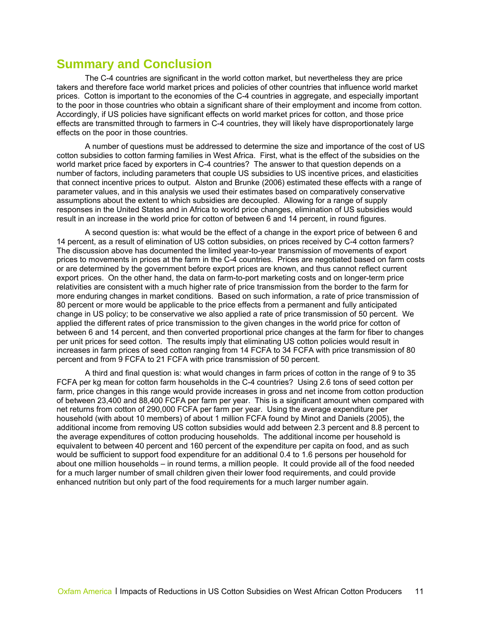# <span id="page-13-0"></span>**Summary and Conclusion**

The C-4 countries are significant in the world cotton market, but nevertheless they are price takers and therefore face world market prices and policies of other countries that influence world market prices. Cotton is important to the economies of the C-4 countries in aggregate, and especially important to the poor in those countries who obtain a significant share of their employment and income from cotton. Accordingly, if US policies have significant effects on world market prices for cotton, and those price effects are transmitted through to farmers in C-4 countries, they will likely have disproportionately large effects on the poor in those countries.

A number of questions must be addressed to determine the size and importance of the cost of US cotton subsidies to cotton farming families in West Africa. First, what is the effect of the subsidies on the world market price faced by exporters in C-4 countries? The answer to that question depends on a number of factors, including parameters that couple US subsidies to US incentive prices, and elasticities that connect incentive prices to output. Alston and Brunke (2006) estimated these effects with a range of parameter values, and in this analysis we used their estimates based on comparatively conservative assumptions about the extent to which subsidies are decoupled. Allowing for a range of supply responses in the United States and in Africa to world price changes, elimination of US subsidies would result in an increase in the world price for cotton of between 6 and 14 percent, in round figures.

A second question is: what would be the effect of a change in the export price of between 6 and 14 percent, as a result of elimination of US cotton subsidies, on prices received by C-4 cotton farmers? The discussion above has documented the limited year-to-year transmission of movements of export prices to movements in prices at the farm in the C-4 countries. Prices are negotiated based on farm costs or are determined by the government before export prices are known, and thus cannot reflect current export prices. On the other hand, the data on farm-to-port marketing costs and on longer-term price relativities are consistent with a much higher rate of price transmission from the border to the farm for more enduring changes in market conditions. Based on such information, a rate of price transmission of 80 percent or more would be applicable to the price effects from a permanent and fully anticipated change in US policy; to be conservative we also applied a rate of price transmission of 50 percent. We applied the different rates of price transmission to the given changes in the world price for cotton of between 6 and 14 percent, and then converted proportional price changes at the farm for fiber to changes per unit prices for seed cotton. The results imply that eliminating US cotton policies would result in increases in farm prices of seed cotton ranging from 14 FCFA to 34 FCFA with price transmission of 80 percent and from 9 FCFA to 21 FCFA with price transmission of 50 percent.

A third and final question is: what would changes in farm prices of cotton in the range of 9 to 35 FCFA per kg mean for cotton farm households in the C-4 countries? Using 2.6 tons of seed cotton per farm, price changes in this range would provide increases in gross and net income from cotton production of between 23,400 and 88,400 FCFA per farm per year. This is a significant amount when compared with net returns from cotton of 290,000 FCFA per farm per year. Using the average expenditure per household (with about 10 members) of about 1 million FCFA found by Minot and Daniels (2005), the additional income from removing US cotton subsidies would add between 2.3 percent and 8.8 percent to the average expenditures of cotton producing households. The additional income per household is equivalent to between 40 percent and 160 percent of the expenditure per capita on food, and as such would be sufficient to support food expenditure for an additional 0.4 to 1.6 persons per household for about one million households – in round terms, a million people. It could provide all of the food needed for a much larger number of small children given their lower food requirements, and could provide enhanced nutrition but only part of the food requirements for a much larger number again.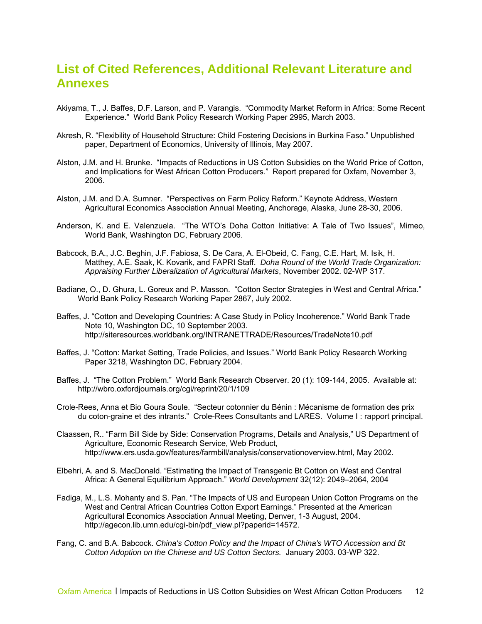# <span id="page-14-0"></span>**List of Cited References, Additional Relevant Literature and Annexes**

- Akiyama, T., J. Baffes, D.F. Larson, and P. Varangis. "Commodity Market Reform in Africa: Some Recent Experience." World Bank Policy Research Working Paper 2995, March 2003.
- Akresh, R. "Flexibility of Household Structure: Child Fostering Decisions in Burkina Faso." Unpublished paper, Department of Economics, University of Illinois, May 2007.
- Alston, J.M. and H. Brunke. "Impacts of Reductions in US Cotton Subsidies on the World Price of Cotton, and Implications for West African Cotton Producers." Report prepared for Oxfam, November 3, 2006.
- Alston, J.M. and D.A. Sumner. "Perspectives on Farm Policy Reform." Keynote Address, Western Agricultural Economics Association Annual Meeting, Anchorage, Alaska, June 28-30, 2006.
- Anderson, K. and E. Valenzuela. "The WTO's Doha Cotton Initiative: A Tale of Two Issues", Mimeo, World Bank, Washington DC, February 2006.
- Babcock, B.A., J.C. Beghin, J.F. Fabiosa, S. De Cara, A. El-Obeid, C. Fang, C.E. Hart, M. Isik, H. Matthey, A.E. Saak, K. Kovarik, and FAPRI Staff. *Doha Round of the World Trade Organization: Appraising Further Liberalization of Agricultural Markets*, November 2002. 02-WP 317.
- Badiane, O., D. Ghura, L. Goreux and P. Masson. "Cotton Sector Strategies in West and Central Africa." World Bank Policy Research Working Paper 2867, July 2002.
- Baffes, J. "Cotton and Developing Countries: A Case Study in Policy Incoherence." World Bank Trade Note 10, Washington DC, 10 September 2003. http://siteresources.worldbank.org/INTRANETTRADE/Resources/TradeNote10.pdf
- Baffes, J. "Cotton: Market Setting, Trade Policies, and Issues." World Bank Policy Research Working Paper 3218, Washington DC, February 2004.
- Baffes, J. "The Cotton Problem." World Bank Research Observer. 20 (1): 109-144, 2005. Available at: http://wbro.oxfordjournals.org/cgi/reprint/20/1/109
- Crole-Rees, Anna et Bio Goura Soule. "Secteur cotonnier du Bénin : Mécanisme de formation des prix du coton-graine et des intrants." Crole-Rees Consultants and LARES. Volume I : rapport principal.
- Claassen, R.. "Farm Bill Side by Side: Conservation Programs, Details and Analysis," US Department of Agriculture, Economic Research Service, Web Product, http://www.ers.usda.gov/features/farmbill/analysis/conservationoverview.html, May 2002.
- Elbehri, A. and S. MacDonald. "Estimating the Impact of Transgenic Bt Cotton on West and Central Africa: A General Equilibrium Approach." *World Development* 32(12): 2049–2064, 2004
- Fadiga, M., L.S. Mohanty and S. Pan. "The Impacts of US and European Union Cotton Programs on the West and Central African Countries Cotton Export Earnings." Presented at the American Agricultural Economics Association Annual Meeting, Denver, 1-3 August, 2004. http://agecon.lib.umn.edu/cgi-bin/pdf\_view.pl?paperid=14572.
- Fang, C. and B.A. Babcock. *China's Cotton Policy and the Impact of China's WTO Accession and Bt Cotton Adoption on the Chinese and US Cotton Sectors.* January 2003. 03-WP 322.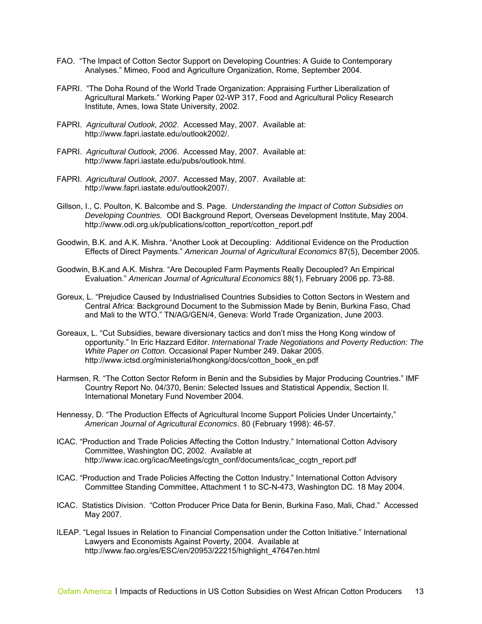- FAO. "The Impact of Cotton Sector Support on Developing Countries: A Guide to Contemporary Analyses." Mimeo, Food and Agriculture Organization, Rome, September 2004.
- FAPRI. "The Doha Round of the World Trade Organization: Appraising Further Liberalization of Agricultural Markets." Working Paper 02-WP 317, Food and Agricultural Policy Research Institute, Ames, Iowa State University, 2002.
- FAPRI. *Agricultural Outlook, 2002*. Accessed May, 2007. Available at: http://www.fapri.iastate.edu/outlook2002/.
- FAPRI. *Agricultural Outlook, 2006*. Accessed May, 2007. Available at: http://www.fapri.iastate.edu/pubs/outlook.html.
- FAPRI. *Agricultural Outlook, 2007*. Accessed May, 2007. Available at: http://www.fapri.iastate.edu/outlook2007/.
- Gillson, I., C. Poulton, K. Balcombe and S. Page. *Understanding the Impact of Cotton Subsidies on Developing Countries.* ODI Background Report, Overseas Development Institute, May 2004. http://www.odi.org.uk/publications/cotton\_report/cotton\_report.pdf
- Goodwin, B.K. and A.K. Mishra. "Another Look at Decoupling: Additional Evidence on the Production Effects of Direct Payments." *American Journal of Agricultural Economics* 87(5), December 2005.
- Goodwin, B.K.and A.K. Mishra. "Are Decoupled Farm Payments Really Decoupled? An Empirical Evaluation." *American Journal of Agricultural Economics* 88(1), February 2006 pp. 73-88.
- Goreux, L. "Prejudice Caused by Industrialised Countries Subsidies to Cotton Sectors in Western and Central Africa: Background Document to the Submission Made by Benin, Burkina Faso, Chad and Mali to the WTO." TN/AG/GEN/4, Geneva: World Trade Organization, June 2003.
- Goreaux, L. "Cut Subsidies, beware diversionary tactics and don't miss the Hong Kong window of opportunity." In Eric Hazzard Editor. *International Trade Negotiations and Poverty Reduction: The White Paper on Cotton.* Occasional Paper Number 249. Dakar 2005. http://www.ictsd.org/ministerial/hongkong/docs/cotton\_book\_en.pdf
- Harmsen, R. "The Cotton Sector Reform in Benin and the Subsidies by Major Producing Countries." IMF Country Report No. 04/370, Benin: Selected Issues and Statistical Appendix, Section II. International Monetary Fund November 2004.
- Hennessy, D. "The Production Effects of Agricultural Income Support Policies Under Uncertainty," *American Journal of Agricultural Economics*. 80 (February 1998): 46-57.
- ICAC. "Production and Trade Policies Affecting the Cotton Industry." International Cotton Advisory Committee, Washington DC, 2002. Available at http://www.icac.org/icac/Meetings/cgtn\_conf/documents/icac\_ccgtn\_report.pdf
- ICAC. "Production and Trade Policies Affecting the Cotton Industry." International Cotton Advisory Committee Standing Committee, Attachment 1 to SC-N-473, Washington DC. 18 May 2004.
- ICAC. Statistics Division. "Cotton Producer Price Data for Benin, Burkina Faso, Mali, Chad." Accessed May 2007.
- ILEAP. "Legal Issues in Relation to Financial Compensation under the Cotton Initiative." International Lawyers and Economists Against Poverty, 2004. Available at http://www.fao.org/es/ESC/en/20953/22215/highlight\_47647en.html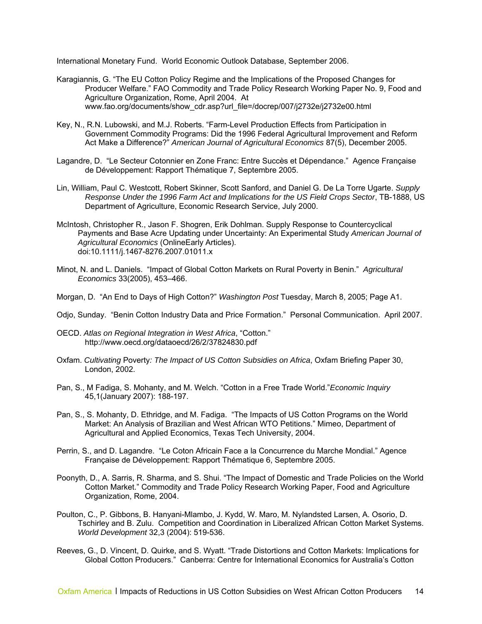International Monetary Fund. World Economic Outlook Database, September 2006.

- Karagiannis, G. "The EU Cotton Policy Regime and the Implications of the Proposed Changes for Producer Welfare." FAO Commodity and Trade Policy Research Working Paper No. 9, Food and Agriculture Organization, Rome, April 2004. At www.fao.org/documents/show\_cdr.asp?url\_file=/docrep/007/j2732e/j2732e00.html
- Key, N., R.N. Lubowski, and M.J. Roberts. "Farm-Level Production Effects from Participation in Government Commodity Programs: Did the 1996 Federal Agricultural Improvement and Reform Act Make a Difference?" *American Journal of Agricultural Economics* 87(5), December 2005.
- Lagandre, D. "Le Secteur Cotonnier en Zone Franc: Entre Succès et Dépendance." Agence Française de Développement: Rapport Thématique 7, Septembre 2005.
- Lin, William, Paul C. Westcott, Robert Skinner, Scott Sanford, and Daniel G. De La Torre Ugarte. *Supply Response Under the 1996 Farm Act and Implications for the US Field Crops Sector*, TB-1888, US Department of Agriculture, Economic Research Service, July 2000.
- McIntosh, Christopher R., Jason F. Shogren, Erik Dohlman. Supply Response to Countercyclical Payments and Base Acre Updating under Uncertainty: An Experimental Study *American Journal of Agricultural Economics* (OnlineEarly Articles). doi:10.1111/j.1467-8276.2007.01011.x
- Minot, N. and L. Daniels. "Impact of Global Cotton Markets on Rural Poverty in Benin." *Agricultural Economics* 33(2005), 453–466.
- Morgan, D. "An End to Days of High Cotton?" *Washington Post* Tuesday, March 8, 2005; Page A1.
- Odjo, Sunday. "Benin Cotton Industry Data and Price Formation." Personal Communication. April 2007.
- OECD. *Atlas on Regional Integration in West Africa*, "Cotton." http://www.oecd.org/dataoecd/26/2/37824830.pdf
- Oxfam. *Cultivating* Poverty*: The Impact of US Cotton Subsidies on Africa*, Oxfam Briefing Paper 30, London, 2002.
- Pan, S., M Fadiga, S. Mohanty, and M. Welch. "Cotton in a Free Trade World."*Economic Inquiry*  45,1(January 2007): 188-197.
- Pan, S., S. Mohanty, D. Ethridge, and M. Fadiga. "The Impacts of US Cotton Programs on the World Market: An Analysis of Brazilian and West African WTO Petitions." Mimeo, Department of Agricultural and Applied Economics, Texas Tech University, 2004.
- Perrin, S., and D. Lagandre. "Le Coton Africain Face a la Concurrence du Marche Mondial." Agence Française de Développement: Rapport Thématique 6, Septembre 2005.
- Poonyth, D., A. Sarris, R. Sharma, and S. Shui. "The Impact of Domestic and Trade Policies on the World Cotton Market." Commodity and Trade Policy Research Working Paper, Food and Agriculture Organization, Rome, 2004.
- Poulton, C., P. Gibbons, B. Hanyani-Mlambo, J. Kydd, W. Maro, M. Nylandsted Larsen, A. Osorio, D. Tschirley and B. Zulu. Competition and Coordination in Liberalized African Cotton Market Systems. *World Development* 32,3 (2004): 519-536.
- Reeves, G., D. Vincent, D. Quirke, and S. Wyatt. "Trade Distortions and Cotton Markets: Implications for Global Cotton Producers." Canberra: Centre for International Economics for Australia's Cotton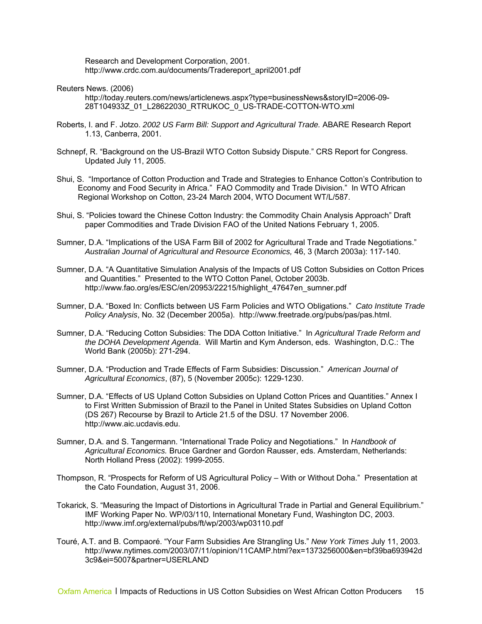Research and Development Corporation, 2001. http://www.crdc.com.au/documents/Tradereport\_april2001.pdf

Reuters News. (2006)

http://today.reuters.com/news/articlenews.aspx?type=businessNews&storyID=2006-09- 28T104933Z\_01\_L28622030\_RTRUKOC\_0\_US-TRADE-COTTON-WTO.xml

- Roberts, I. and F. Jotzo. *2002 US Farm Bill: Support and Agricultural Trade.* ABARE Research Report 1.13, Canberra, 2001.
- Schnepf, R. "Background on the US-Brazil WTO Cotton Subsidy Dispute." CRS Report for Congress. Updated July 11, 2005.
- Shui, S. "Importance of Cotton Production and Trade and Strategies to Enhance Cotton's Contribution to Economy and Food Security in Africa." FAO Commodity and Trade Division." In WTO African Regional Workshop on Cotton, 23-24 March 2004, WTO Document WT/L/587.
- Shui, S. "Policies toward the Chinese Cotton Industry: the Commodity Chain Analysis Approach" Draft paper Commodities and Trade Division FAO of the United Nations February 1, 2005.
- Sumner, D.A. "Implications of the USA Farm Bill of 2002 for Agricultural Trade and Trade Negotiations." *Australian Journal of Agricultural and Resource Economics,* 46, 3 (March 2003a): 117-140.
- Sumner, D.A. "A Quantitative Simulation Analysis of the Impacts of US Cotton Subsidies on Cotton Prices and Quantities." Presented to the WTO Cotton Panel, October 2003b. http://www.fao.org/es/ESC/en/20953/22215/highlight\_47647en\_sumner.pdf
- Sumner, D.A. "Boxed In: Conflicts between US Farm Policies and WTO Obligations." *Cato Institute Trade Policy Analysis*, No. 32 (December 2005a). http://www.freetrade.org/pubs/pas/pas.html.
- Sumner, D.A. "Reducing Cotton Subsidies: The DDA Cotton Initiative." In *Agricultural Trade Reform and the DOHA Development Agenda*. Will Martin and Kym Anderson, eds. Washington, D.C.: The World Bank (2005b): 271-294.
- Sumner, D.A. "Production and Trade Effects of Farm Subsidies: Discussion." *American Journal of Agricultural Economics*, (87), 5 (November 2005c): 1229-1230.
- Sumner, D.A. "Effects of US Upland Cotton Subsidies on Upland Cotton Prices and Quantities." Annex I to First Written Submission of Brazil to the Panel in United States Subsidies on Upland Cotton (DS 267) Recourse by Brazil to Article 21.5 of the DSU. 17 November 2006. http://www.aic.ucdavis.edu.
- Sumner, D.A. and S. Tangermann. "International Trade Policy and Negotiations." In *Handbook of Agricultural Economics.* Bruce Gardner and Gordon Rausser, eds. Amsterdam, Netherlands: North Holland Press (2002): 1999-2055.
- Thompson, R. "Prospects for Reform of US Agricultural Policy With or Without Doha." Presentation at the Cato Foundation, August 31, 2006.
- Tokarick, S. "Measuring the Impact of Distortions in Agricultural Trade in Partial and General Equilibrium." IMF Working Paper No. WP/03/110, International Monetary Fund, Washington DC, 2003. http://www.imf.org/external/pubs/ft/wp/2003/wp03110.pdf
- Touré, A.T. and B. Compaoré. "Your Farm Subsidies Are Strangling Us." *New York Times* July 11, 2003. http://www.nytimes.com/2003/07/11/opinion/11CAMP.html?ex=1373256000&en=bf39ba693942d 3c9&ei=5007&partner=USERLAND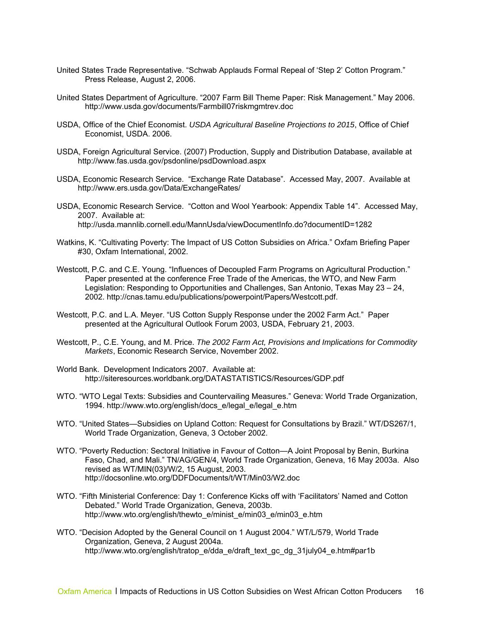- United States Trade Representative. "Schwab Applauds Formal Repeal of 'Step 2' Cotton Program." Press Release, August 2, 2006.
- United States Department of Agriculture. "2007 Farm Bill Theme Paper: Risk Management." May 2006. http://www.usda.gov/documents/Farmbill07riskmgmtrev.doc
- USDA, Office of the Chief Economist. *USDA Agricultural Baseline Projections to 2015*, Office of Chief Economist, USDA. 2006.
- USDA, Foreign Agricultural Service. (2007) Production, Supply and Distribution Database, available at http://www.fas.usda.gov/psdonline/psdDownload.aspx
- USDA, Economic Research Service. "Exchange Rate Database". Accessed May, 2007. Available at http://www.ers.usda.gov/Data/ExchangeRates/
- USDA, Economic Research Service. "Cotton and Wool Yearbook: Appendix Table 14". Accessed May, 2007. Available at: http://usda.mannlib.cornell.edu/MannUsda/viewDocumentInfo.do?documentID=1282
- Watkins, K. "Cultivating Poverty: The Impact of US Cotton Subsidies on Africa." Oxfam Briefing Paper #30, Oxfam International, 2002.
- Westcott, P.C. and C.E. Young. "Influences of Decoupled Farm Programs on Agricultural Production." Paper presented at the conference Free Trade of the Americas, the WTO, and New Farm Legislation: Responding to Opportunities and Challenges, San Antonio, Texas May 23 – 24, 2002. http://cnas.tamu.edu/publications/powerpoint/Papers/Westcott.pdf.
- Westcott, P.C. and L.A. Meyer. "US Cotton Supply Response under the 2002 Farm Act." Paper presented at the Agricultural Outlook Forum 2003, USDA, February 21, 2003.
- Westcott, P., C.E. Young, and M. Price. *The 2002 Farm Act, Provisions and Implications for Commodity Markets*, Economic Research Service, November 2002.
- World Bank. Development Indicators 2007. Available at: http://siteresources.worldbank.org/DATASTATISTICS/Resources/GDP.pdf
- WTO. "WTO Legal Texts: Subsidies and Countervailing Measures." Geneva: World Trade Organization, 1994. http://www.wto.org/english/docs\_e/legal\_e/legal\_e.htm
- WTO. "United States—Subsidies on Upland Cotton: Request for Consultations by Brazil." WT/DS267/1, World Trade Organization, Geneva, 3 October 2002.
- WTO. "Poverty Reduction: Sectoral Initiative in Favour of Cotton—A Joint Proposal by Benin, Burkina Faso, Chad, and Mali." TN/AG/GEN/4, World Trade Organization, Geneva, 16 May 2003a. Also revised as WT/MIN(03)/W/2, 15 August, 2003. http://docsonline.wto.org/DDFDocuments/t/WT/Min03/W2.doc
- WTO. "Fifth Ministerial Conference: Day 1: Conference Kicks off with 'Facilitators' Named and Cotton Debated." World Trade Organization, Geneva, 2003b. http://www.wto.org/english/thewto\_e/minist\_e/min03\_e/min03\_e.htm
- WTO. "Decision Adopted by the General Council on 1 August 2004." WT/L/579, World Trade Organization, Geneva, 2 August 2004a. http://www.wto.org/english/tratop\_e/dda\_e/draft\_text\_gc\_dg\_31july04\_e.htm#par1b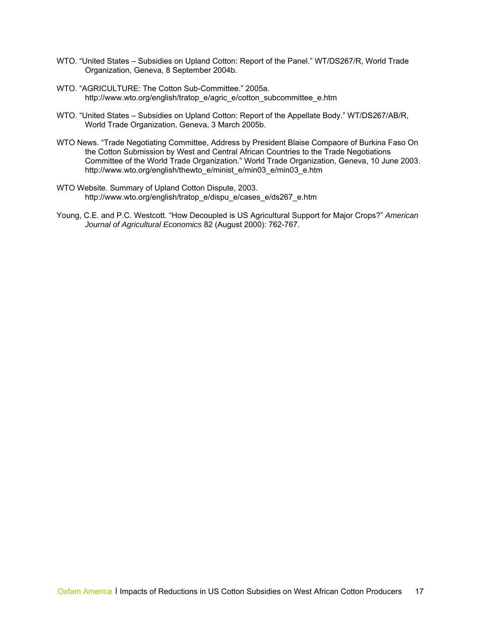- WTO. "United States Subsidies on Upland Cotton: Report of the Panel." WT/DS267/R, World Trade Organization, Geneva, 8 September 2004b.
- WTO. "AGRICULTURE: The Cotton Sub-Committee." 2005a. http://www.wto.org/english/tratop\_e/agric\_e/cotton\_subcommittee\_e.htm
- WTO. "United States Subsidies on Upland Cotton: Report of the Appellate Body." WT/DS267/AB/R, World Trade Organization, Geneva, 3 March 2005b.
- WTO News. "Trade Negotiating Committee, Address by President Blaise Compaore of Burkina Faso On the Cotton Submission by West and Central African Countries to the Trade Negotiations Committee of the World Trade Organization." World Trade Organization, Geneva, 10 June 2003. http://www.wto.org/english/thewto\_e/minist\_e/min03\_e/min03\_e.htm
- WTO Website. Summary of Upland Cotton Dispute, 2003. http://www.wto.org/english/tratop\_e/dispu\_e/cases\_e/ds267\_e.htm
- Young, C.E. and P.C. Westcott. "How Decoupled is US Agricultural Support for Major Crops?" *American Journal of Agricultural Economics* 82 (August 2000): 762-767.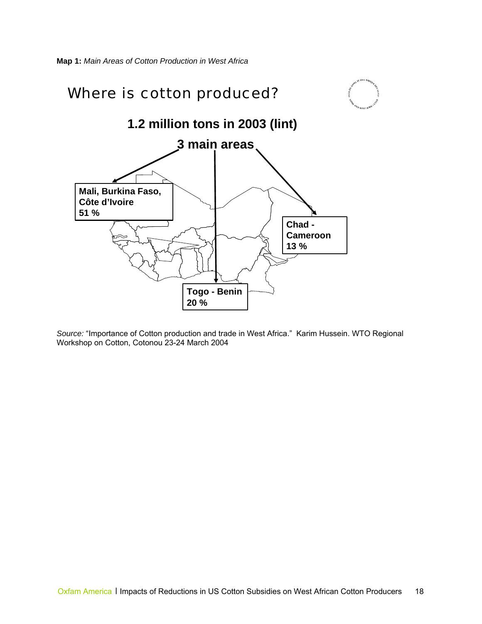

*Source:* "Importance of Cotton production and trade in West Africa." Karim Hussein. WTO Regional Workshop on Cotton, Cotonou 23-24 March 2004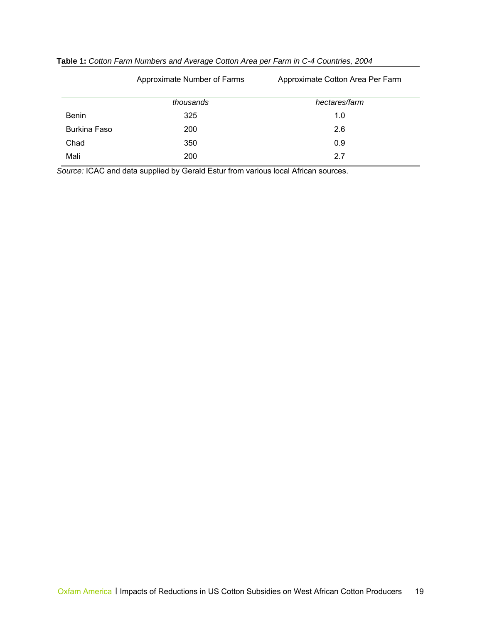|                     | Approximate Number of Farms | Approximate Cotton Area Per Farm |
|---------------------|-----------------------------|----------------------------------|
|                     | thousands                   | hectares/farm                    |
| <b>Benin</b>        | 325                         | 1.0                              |
| <b>Burkina Faso</b> | 200                         | 2.6                              |
| Chad                | 350                         | 0.9                              |
| Mali                | 200                         | 2.7                              |

|  |  |  | Table 1: Cotton Farm Numbers and Average Cotton Area per Farm in C-4 Countries, 2004 |  |  |  |  |  |  |
|--|--|--|--------------------------------------------------------------------------------------|--|--|--|--|--|--|
|--|--|--|--------------------------------------------------------------------------------------|--|--|--|--|--|--|

*Source:* ICAC and data supplied by Gerald Estur from various local African sources.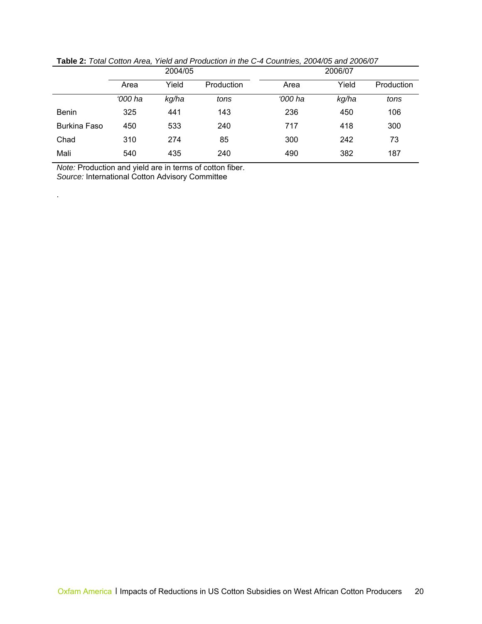|                     | 2004/05 |       | 2006/07    |         |       |            |
|---------------------|---------|-------|------------|---------|-------|------------|
|                     | Area    | Yield | Production | Area    | Yield | Production |
|                     | '000 ha | kg/ha | tons       | '000 ha | kg/ha | tons       |
| <b>Benin</b>        | 325     | 441   | 143        | 236     | 450   | 106        |
| <b>Burkina Faso</b> | 450     | 533   | 240        | 717     | 418   | 300        |
| Chad                | 310     | 274   | 85         | 300     | 242   | 73         |
| Mali                | 540     | 435   | 240        | 490     | 382   | 187        |

**Table 2:** *Total Cotton Area, Yield and Production in the C-4 Countries, 2004/05 and 2006/07* 

*Note:* Production and yield are in terms of cotton fiber. *Source:* International Cotton Advisory Committee

.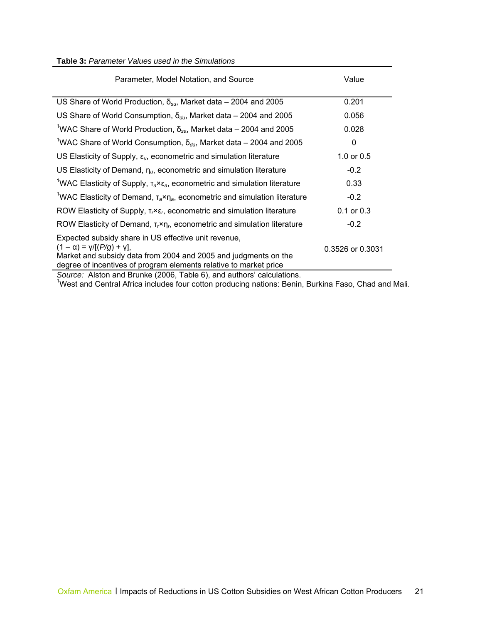#### **Table 3:** *Parameter Values used in the Simulations*

| Parameter, Model Notation, and Source                                                                                                                                                                                                                                                                                                                                                                                                                                                                                                                                                                                               | Value            |
|-------------------------------------------------------------------------------------------------------------------------------------------------------------------------------------------------------------------------------------------------------------------------------------------------------------------------------------------------------------------------------------------------------------------------------------------------------------------------------------------------------------------------------------------------------------------------------------------------------------------------------------|------------------|
| US Share of World Production, $\delta_{\rm su}$ , Market data – 2004 and 2005                                                                                                                                                                                                                                                                                                                                                                                                                                                                                                                                                       | 0.201            |
| US Share of World Consumption, $\delta_{du}$ , Market data – 2004 and 2005                                                                                                                                                                                                                                                                                                                                                                                                                                                                                                                                                          | 0.056            |
| <sup>1</sup> WAC Share of World Production, $\delta_{sa}$ , Market data – 2004 and 2005                                                                                                                                                                                                                                                                                                                                                                                                                                                                                                                                             | 0.028            |
| <sup>1</sup> WAC Share of World Consumption, $\delta_{da}$ , Market data – 2004 and 2005                                                                                                                                                                                                                                                                                                                                                                                                                                                                                                                                            | 0                |
| US Elasticity of Supply, $\varepsilon_{\mu}$ , econometric and simulation literature                                                                                                                                                                                                                                                                                                                                                                                                                                                                                                                                                | 1.0 or $0.5$     |
| US Elasticity of Demand, $\eta_u$ , econometric and simulation literature                                                                                                                                                                                                                                                                                                                                                                                                                                                                                                                                                           | $-0.2$           |
| <sup>1</sup> WAC Elasticity of Supply, $T_a \times \varepsilon_a$ , econometric and simulation literature                                                                                                                                                                                                                                                                                                                                                                                                                                                                                                                           | 0.33             |
| <sup>1</sup> WAC Elasticity of Demand, $T_a \times \eta_a$ , econometric and simulation literature                                                                                                                                                                                                                                                                                                                                                                                                                                                                                                                                  | $-0.2$           |
| ROW Elasticity of Supply, $T_r \times \varepsilon_r$ , econometric and simulation literature                                                                                                                                                                                                                                                                                                                                                                                                                                                                                                                                        | $0.1$ or $0.3$   |
| ROW Elasticity of Demand, $\tau_r \times \eta_r$ , econometric and simulation literature                                                                                                                                                                                                                                                                                                                                                                                                                                                                                                                                            | $-0.2$           |
| Expected subsidy share in US effective unit revenue,<br>$(1 - \alpha) = \gamma / [(P/g) + \gamma],$<br>Market and subsidy data from 2004 and 2005 and judgments on the<br>degree of incentives of program elements relative to market price<br>$\overline{1}$ $\overline{2}$ $\overline{1}$ $\overline{2}$ $\overline{3}$ $\overline{1}$ $\overline{2}$ $\overline{3}$ $\overline{3}$ $\overline{4}$ $\overline{2}$ $\overline{3}$ $\overline{3}$ $\overline{4}$ $\overline{2}$ $\overline{3}$ $\overline{3}$ $\overline{4}$ $\overline{2}$ $\overline{3}$ $\overline{4}$ $\overline{2}$ $\overline{3}$ $\overline{4}$ $\overline{$ | 0.3526 or 0.3031 |

Source: Alston and Brunke (2006, Table 6), and authors' calculations.<br><sup>1</sup>West and Central Africa includes four cotton producing nations: Benin, Burkina Faso, Chad and Mali.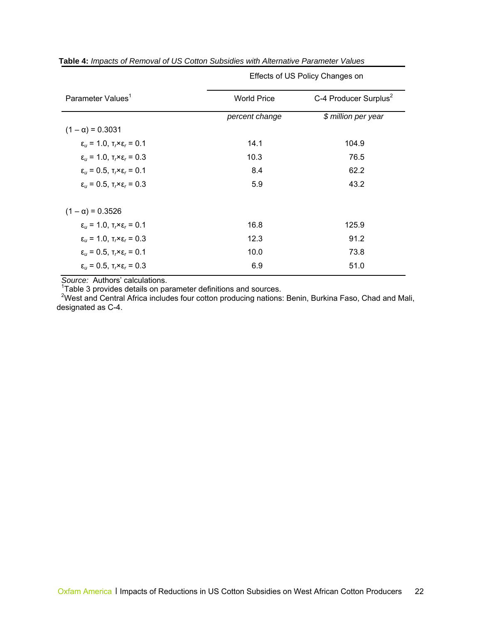| <b>World Price</b> | C-4 Producer Surplus <sup>2</sup> |
|--------------------|-----------------------------------|
| percent change     | \$ million per year               |
|                    |                                   |
| 14.1               | 104.9                             |
| 10.3               | 76.5                              |
| 8.4                | 62.2                              |
| 5.9                | 43.2                              |
|                    |                                   |
| 16.8               | 125.9                             |
| 12.3               | 91.2                              |
| 10.0               | 73.8                              |
| 6.9                | 51.0                              |
|                    |                                   |

Effects of US Policy Changes on

**Table 4:** *Impacts of Removal of US Cotton Subsidies with Alternative Parameter Values* 

Source: Authors' calculations.<br><sup>1</sup>Table 3 provides details on parameter definitions and sources.

<sup>2</sup>West and Central Africa includes four cotton producing nations: Benin, Burkina Faso, Chad and Mali, designated as C-4.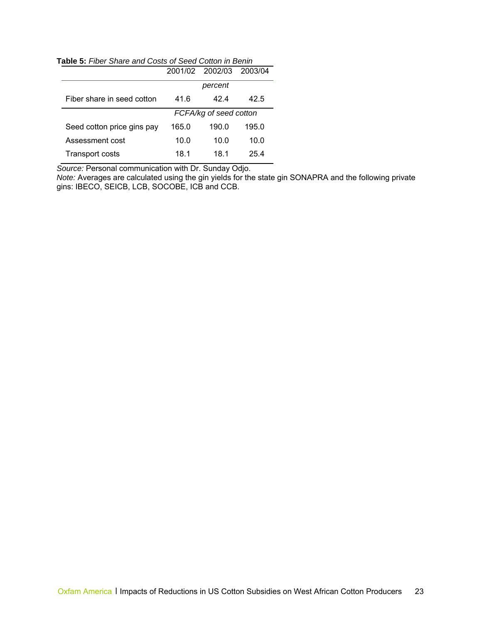**Table 5:** *Fiber Share and Costs of Seed Cotton in Benin* 

| <b>apic J.</b> Tiper Onlare and Obsis Or Occu Obtion in Denin |       |                        |         |  |
|---------------------------------------------------------------|-------|------------------------|---------|--|
|                                                               |       | 2001/02 2002/03        | 2003/04 |  |
|                                                               |       | percent                |         |  |
| Fiber share in seed cotton                                    | 41.6  | 42.4                   | 42.5    |  |
|                                                               |       | FCFA/kg of seed cotton |         |  |
| Seed cotton price gins pay                                    | 165.0 | 190.0                  | 195.0   |  |
| Assessment cost                                               | 10.0  | 10.0                   | 10.0    |  |
| <b>Transport costs</b>                                        | 18.1  | 18.1                   | 25.4    |  |

*Source:* Personal communication with Dr. Sunday Odjo.

*Note:* Averages are calculated using the gin yields for the state gin SONAPRA and the following private gins: IBECO, SEICB, LCB, SOCOBE, ICB and CCB.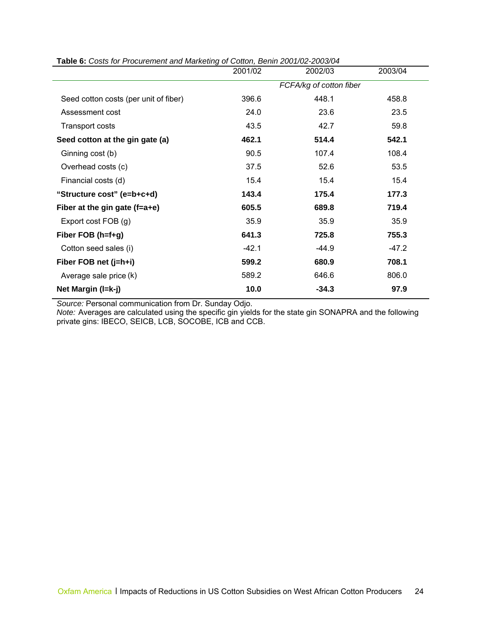|                                       | 2001/02                 | 2002/03 | 2003/04 |  |
|---------------------------------------|-------------------------|---------|---------|--|
|                                       | FCFA/kg of cotton fiber |         |         |  |
| Seed cotton costs (per unit of fiber) | 396.6                   | 448.1   | 458.8   |  |
| Assessment cost                       | 24.0                    | 23.6    | 23.5    |  |
| Transport costs                       | 43.5                    | 42.7    | 59.8    |  |
| Seed cotton at the gin gate (a)       | 462.1                   | 514.4   | 542.1   |  |
| Ginning cost (b)                      | 90.5                    | 107.4   | 108.4   |  |
| Overhead costs (c)                    | 37.5                    | 52.6    | 53.5    |  |
| Financial costs (d)                   | 15.4                    | 15.4    | 15.4    |  |
| "Structure cost" (e=b+c+d)            | 143.4                   | 175.4   | 177.3   |  |
| Fiber at the gin gate $(f=a+e)$       | 605.5                   | 689.8   | 719.4   |  |
| Export cost FOB (g)                   | 35.9                    | 35.9    | 35.9    |  |
| Fiber FOB (h=f+g)                     | 641.3                   | 725.8   | 755.3   |  |
| Cotton seed sales (i)                 | $-42.1$                 | $-44.9$ | $-47.2$ |  |
| Fiber FOB net (j=h+i)                 | 599.2                   | 680.9   | 708.1   |  |
| Average sale price (k)                | 589.2                   | 646.6   | 806.0   |  |
| Net Margin (I=k-j)                    | 10.0                    | $-34.3$ | 97.9    |  |

**Table 6:** *Costs for Procurement and Marketing of Cotton, Benin 2001/02-2003/04* 

*Source:* Personal communication from Dr. Sunday Odjo.

*Note:* Averages are calculated using the specific gin yields for the state gin SONAPRA and the following private gins: IBECO, SEICB, LCB, SOCOBE, ICB and CCB.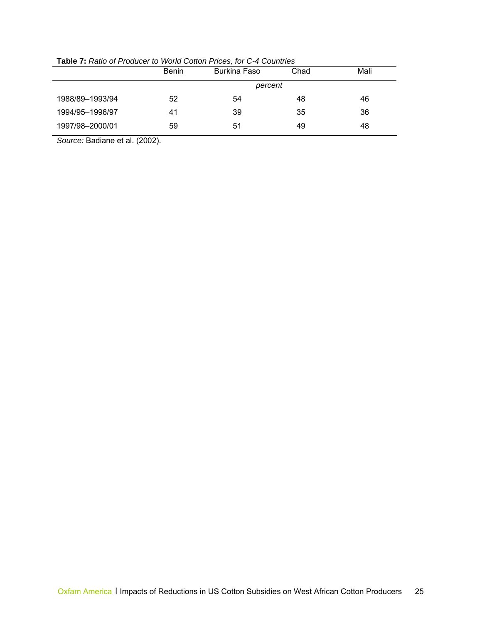|                 | <b>Benin</b> | <b>Burkina Faso</b> | Chad | Mali |
|-----------------|--------------|---------------------|------|------|
|                 |              | percent             |      |      |
| 1988/89-1993/94 | 52           | 54                  | 48   | 46   |
| 1994/95-1996/97 | 41           | 39                  | 35   | 36   |
| 1997/98-2000/01 | 59           | 51                  | 49   | 48   |

**Table 7:** *Ratio of Producer to World Cotton Prices, for C-4 Countries* 

*Source:* Badiane et al. (2002).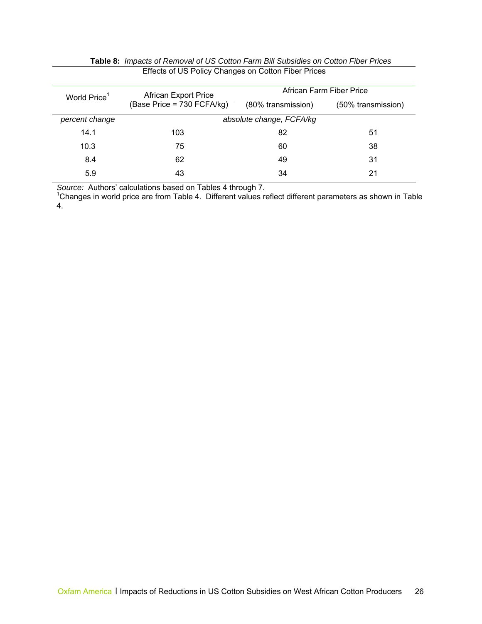| World Price <sup>1</sup> | <b>African Export Price</b> | African Farm Fiber Price |                    |  |
|--------------------------|-----------------------------|--------------------------|--------------------|--|
|                          | (Base Price = 730 FCFA/kg)  | (80% transmission)       | (50% transmission) |  |
| percent change           | absolute change, FCFA/kg    |                          |                    |  |
| 14.1                     | 103                         | 82                       | 51                 |  |
| 10.3                     | 75                          | 60                       | 38                 |  |
| 8.4                      | 62                          | 49                       | 31                 |  |
| 5.9                      | 43                          | 34                       | 21                 |  |

| <b>Table 8:</b> Impacts of Removal of US Cotton Farm Bill Subsidies on Cotton Fiber Prices |
|--------------------------------------------------------------------------------------------|
| Effects of US Policy Changes on Cotton Fiber Prices                                        |

Source: Authors' calculations based on Tables 4 through 7.<br><sup>1</sup>Changes in world price are from Table 4. Different values reflect different parameters as shown in Table 4.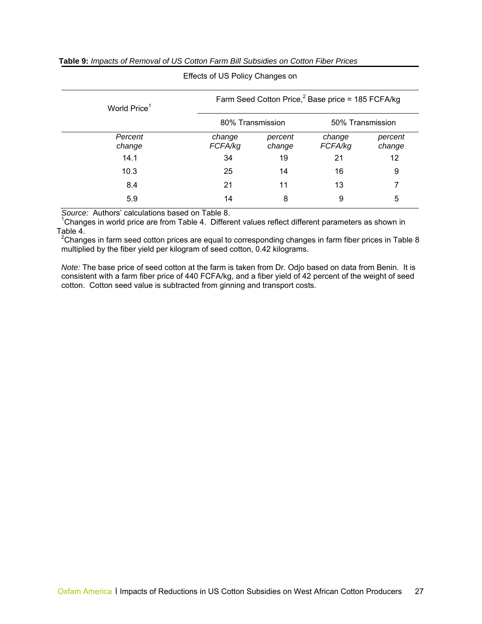|                          | Life colored in one of the rights on the |                   |                                                               |                   |
|--------------------------|------------------------------------------|-------------------|---------------------------------------------------------------|-------------------|
| World Price <sup>1</sup> |                                          |                   | Farm Seed Cotton Price, <sup>2</sup> Base price = 185 FCFA/kg |                   |
|                          | 80% Transmission                         |                   | 50% Transmission                                              |                   |
| Percent<br>change        | change<br>FCFA/kg                        | percent<br>change | change<br>FCFA/kg                                             | percent<br>change |
| 14.1                     | 34                                       | 19                | 21                                                            | 12                |
| 10.3                     | 25                                       | 14                | 16                                                            | 9                 |
| 8.4                      | 21                                       | 11                | 13                                                            | 7                 |
| 5.9                      | 14                                       | 8                 | 9                                                             | 5                 |

#### **Table 9:** *Impacts of Removal of US Cotton Farm Bill Subsidies on Cotton Fiber Prices*

Effects of US Policy Changes on

*Source:* Authors' calculations based on Table 8.

 $1$ Changes in world price are from Table 4. Different values reflect different parameters as shown in Table 4.

<sup>2</sup>Changes in farm seed cotton prices are equal to corresponding changes in farm fiber prices in Table 8 multiplied by the fiber yield per kilogram of seed cotton, 0.42 kilograms.

*Note:* The base price of seed cotton at the farm is taken from Dr. Odjo based on data from Benin. It is consistent with a farm fiber price of 440 FCFA/kg, and a fiber yield of 42 percent of the weight of seed cotton. Cotton seed value is subtracted from ginning and transport costs.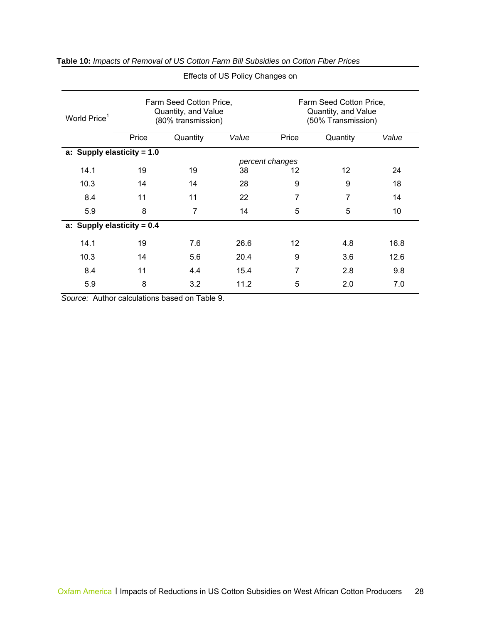| World Price <sup>1</sup>     | Farm Seed Cotton Price,<br>Quantity, and Value<br>(80% transmission) |                 |       | Farm Seed Cotton Price,<br>Quantity, and Value<br>(50% Transmission) |          |       |  |  |
|------------------------------|----------------------------------------------------------------------|-----------------|-------|----------------------------------------------------------------------|----------|-------|--|--|
|                              | Price                                                                | Quantity        | Value | Price                                                                | Quantity | Value |  |  |
| a: Supply elasticity = $1.0$ |                                                                      |                 |       |                                                                      |          |       |  |  |
|                              |                                                                      | percent changes |       |                                                                      |          |       |  |  |
| 14.1                         | 19                                                                   | 19              | 38    | 12                                                                   | 12       | 24    |  |  |
| 10.3                         | 14                                                                   | 14              | 28    | 9                                                                    | 9        | 18    |  |  |
| 8.4                          | 11                                                                   | 11              | 22    | 7                                                                    | 7        | 14    |  |  |
| 5.9                          | 8                                                                    | $\overline{7}$  | 14    | 5                                                                    | 5        | 10    |  |  |
| a: Supply elasticity = $0.4$ |                                                                      |                 |       |                                                                      |          |       |  |  |
| 14.1                         | 19                                                                   | 7.6             | 26.6  | $12 \overline{ }$                                                    | 4.8      | 16.8  |  |  |
| 10.3                         | 14                                                                   | 5.6             | 20.4  | 9                                                                    | 3.6      | 12.6  |  |  |
| 8.4                          | 11                                                                   | 4.4             | 15.4  | 7                                                                    | 2.8      | 9.8   |  |  |
| 5.9                          | 8                                                                    | 3.2             | 11.2  | 5                                                                    | 2.0      | 7.0   |  |  |

**Table 10:** *Impacts of Removal of US Cotton Farm Bill Subsidies on Cotton Fiber Prices* 

Effects of US Policy Changes on

*Source:* Author calculations based on Table 9.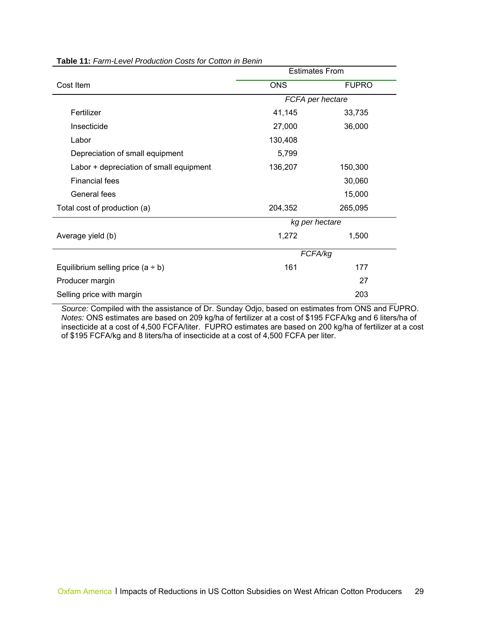|                                         |                  | <b>Estimates From</b> |  |
|-----------------------------------------|------------------|-----------------------|--|
| Cost Item                               | <b>ONS</b>       | <b>FUPRO</b>          |  |
|                                         | FCFA per hectare |                       |  |
| Fertilizer                              | 41,145           | 33,735                |  |
| Insecticide                             | 27,000           | 36,000                |  |
| Labor                                   | 130,408          |                       |  |
| Depreciation of small equipment         | 5,799            |                       |  |
| Labor + depreciation of small equipment | 136,207          | 150,300               |  |
| <b>Financial fees</b>                   |                  | 30,060                |  |
| General fees                            |                  | 15,000                |  |
| Total cost of production (a)            | 204,352          | 265,095               |  |
|                                         | kg per hectare   |                       |  |
| Average yield (b)                       | 1,272            | 1,500                 |  |
|                                         | FCFA/kg          |                       |  |
| Equilibrium selling price $(a + b)$     | 161              | 177                   |  |
| Producer margin                         |                  | 27                    |  |
| Selling price with margin               |                  | 203                   |  |

**Table 11:** *Farm-Level Production Costs for Cotton in Benin* 

*Source:* Compiled with the assistance of Dr. Sunday Odjo, based on estimates from ONS and FUPRO. *Notes:* ONS estimates are based on 209 kg/ha of fertilizer at a cost of \$195 FCFA/kg and 6 liters/ha of insecticide at a cost of 4,500 FCFA/liter. FUPRO estimates are based on 200 kg/ha of fertilizer at a cost of \$195 FCFA/kg and 8 liters/ha of insecticide at a cost of 4,500 FCFA per liter.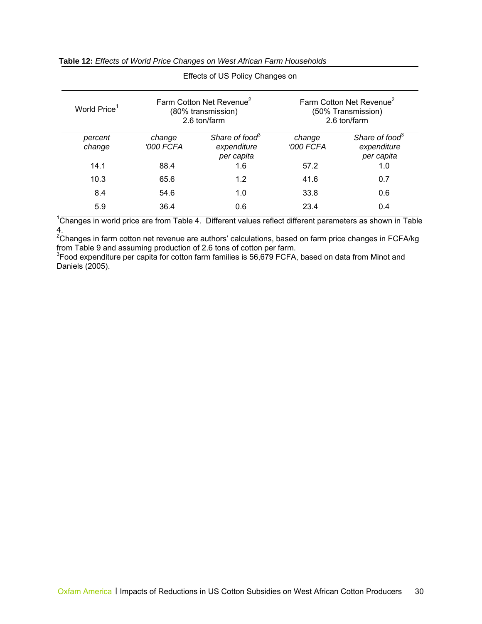| Effects of US Policy Changes on |                            |                                                                            |                                                                            |                                                         |  |  |  |  |  |
|---------------------------------|----------------------------|----------------------------------------------------------------------------|----------------------------------------------------------------------------|---------------------------------------------------------|--|--|--|--|--|
| World Price <sup>1</sup>        |                            | Farm Cotton Net Revenue <sup>2</sup><br>(80% transmission)<br>2.6 ton/farm | Farm Cotton Net Revenue <sup>2</sup><br>(50% Transmission)<br>2.6 ton/farm |                                                         |  |  |  |  |  |
| percent<br>change               | change<br><b>'000 FCFA</b> | Share of food <sup>3</sup><br>expenditure<br>per capita                    | change<br>'000 FCFA                                                        | Share of food <sup>3</sup><br>expenditure<br>per capita |  |  |  |  |  |
| 14.1                            | 88.4                       | 1.6                                                                        | 57.2                                                                       | 1.0                                                     |  |  |  |  |  |
| 10.3                            | 65.6                       | 1.2                                                                        | 41.6                                                                       | 0.7                                                     |  |  |  |  |  |
| 8.4                             | 54.6                       | 1.0                                                                        | 33.8                                                                       | 0.6                                                     |  |  |  |  |  |
| 5.9                             | 36.4                       | 0.6                                                                        | 23.4                                                                       | 0.4                                                     |  |  |  |  |  |

#### **Table 12:** *Effects of World Price Changes on West African Farm Households*

 $1$ Changes in world price are from Table 4. Different values reflect different parameters as shown in Table

4.<br><sup>2</sup>Changes in farm cotton net revenue are authors' calculations, based on farm price changes in FCFA/kg from Table 9 and assuming production of 2.6 tons of cotton per farm.

<sup>3</sup> Food expenditure per capita for cotton farm families is 56,679 FCFA, based on data from Minot and Daniels (2005).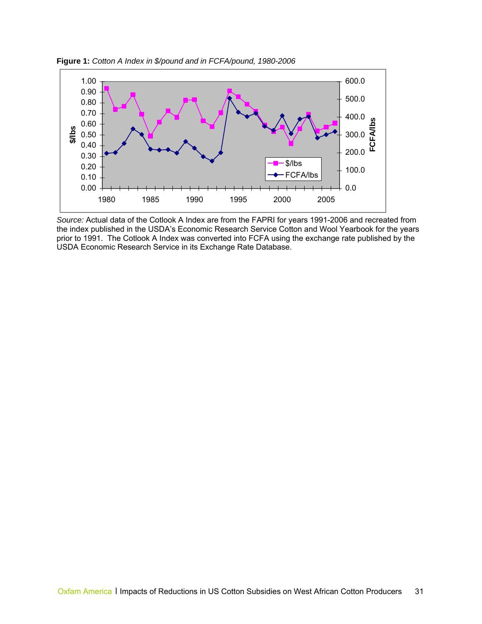

**Figure 1:** *Cotton A Index in \$/pound and in FCFA/pound, 1980-2006*

*Source:* Actual data of the Cotlook A Index are from the FAPRI for years 1991-2006 and recreated from the index published in the USDA's Economic Research Service Cotton and Wool Yearbook for the years prior to 1991. The Cotlook A Index was converted into FCFA using the exchange rate published by the USDA Economic Research Service in its Exchange Rate Database.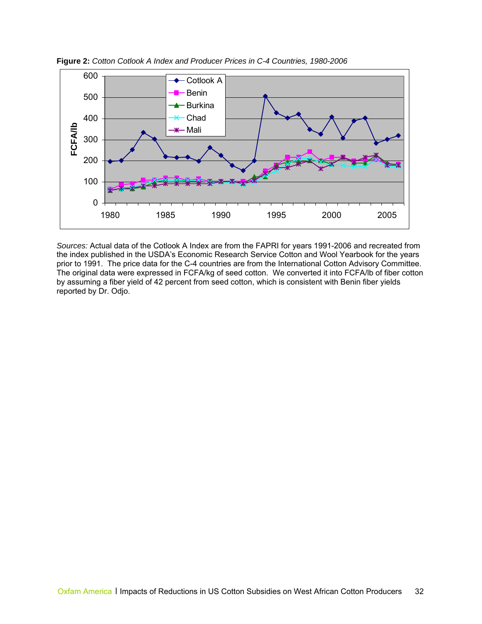

**Figure 2:** *Cotton Cotlook A Index and Producer Prices in C-4 Countries, 1980-2006* 

*Sources:* Actual data of the Cotlook A Index are from the FAPRI for years 1991-2006 and recreated from the index published in the USDA's Economic Research Service Cotton and Wool Yearbook for the years prior to 1991. The price data for the C-4 countries are from the International Cotton Advisory Committee. The original data were expressed in FCFA/kg of seed cotton. We converted it into FCFA/lb of fiber cotton by assuming a fiber yield of 42 percent from seed cotton, which is consistent with Benin fiber yields reported by Dr. Odjo.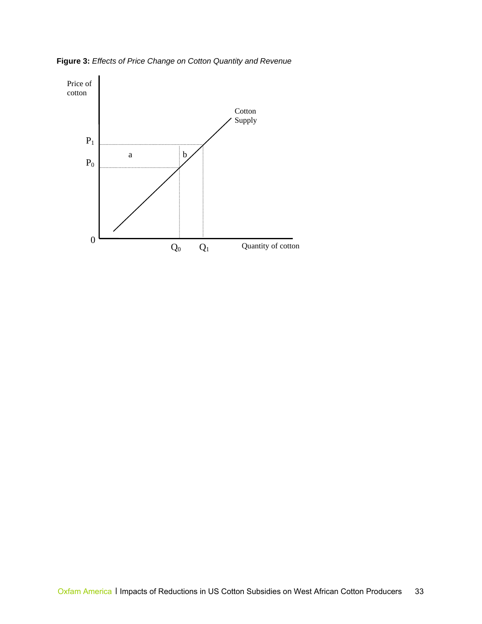**Figure 3:** *Effects of Price Change on Cotton Quantity and Revenue*

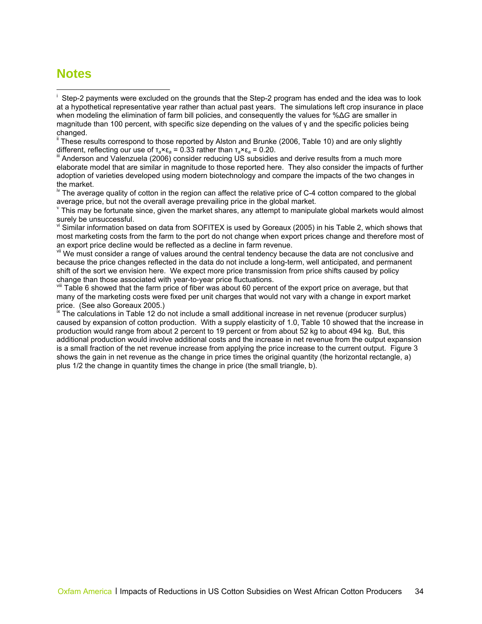## <span id="page-36-2"></span><span id="page-36-0"></span>**Notes**

 $\overline{a}$ 

<sup>ii</sup> These results correspond to those reported by Alston and Brunke (2006, Table 10) and are only slightly different, reflecting our use of τ<sub>a</sub>×ε<sub>a</sub> = 0.33 rather than τ<sub>a</sub>×ε<sub>a</sub> = 0.20.<br><sup>iii</sup> Anderson and Valenzuela (2006) consider reducing US subsidies and derive results from a much more

elaborate model that are similar in magnitude to those reported here. They also consider the impacts of further adoption of varieties developed using modern biotechnology and compare the impacts of the two changes in the market.

<sup>iv</sup> The average quality of cotton in the region can affect the relative price of C-4 cotton compared to the global average price, but not the overall average prevailing price in the global market.

 $\theta$ <sup>v</sup> This may be fortunate since, given the market shares, any attempt to manipulate global markets would almost surely be unsuccessful.

v<sup>i</sup> Similar information based on data from SOFITEX is used by Goreaux (2005) in his Table 2, which shows that most marketing costs from the farm to the port do not change when export prices change and therefore most of an export price decline would be reflected as a decline in farm revenue.

vii We must consider a range of values around the central tendency because the data are not conclusive and because the price changes reflected in the data do not include a long-term, well anticipated, and permanent shift of the sort we envision here. We expect more price transmission from price shifts caused by policy change than those associated with year-to-year price fluctuations.

viii Table 6 showed that the farm price of fiber was about 60 percent of the export price on average, but that many of the marketing costs were fixed per unit charges that would not vary with a change in export market price. (See also Goreaux 2005.)<br><sup>Ix</sup> The calculations in Table 12 do not include a small additional increase in net revenue (producer surplus)

caused by expansion of cotton production. With a supply elasticity of 1.0, Table 10 showed that the increase in production would range from about 2 percent to 19 percent or from about 52 kg to about 494 kg. But, this additional production would involve additional costs and the increase in net revenue from the output expansion is a small fraction of the net revenue increase from applying the price increase to the current output. Figure 3 shows the gain in net revenue as the change in price times the original quantity (the horizontal rectangle, a) plus 1/2 the change in quantity times the change in price (the small triangle, b).

<span id="page-36-1"></span>i Step-2 payments were excluded on the grounds that the Step-2 program has ended and the idea was to look at a hypothetical representative year rather than actual past years. The simulations left crop insurance in place when modeling the elimination of farm bill policies, and consequently the values for %Δ*G* are smaller in magnitude than 100 percent, with specific size depending on the values of γ and the specific policies being changed.